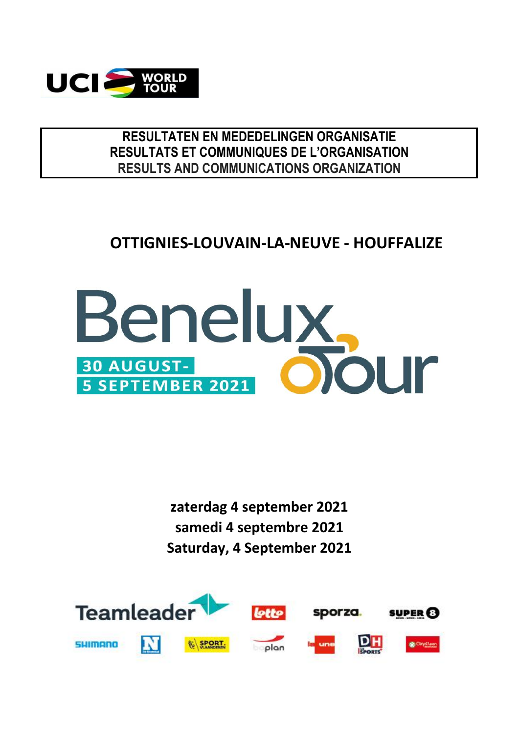

### **RESULTATEN EN MEDEDELINGEN ORGANISATIE RESULTS AND COMMUNICATIONS ORGANIZATION RESULTATS ET COMMUNIQUES DE L'ORGANISATION**

# **OTTIGNIES-LOUVAIN-LA-NEUVE - HOUFFALIZE**



**samedi 4 septembre 2021 Saturday, 4 September 2021 zaterdag 4 september 2021**

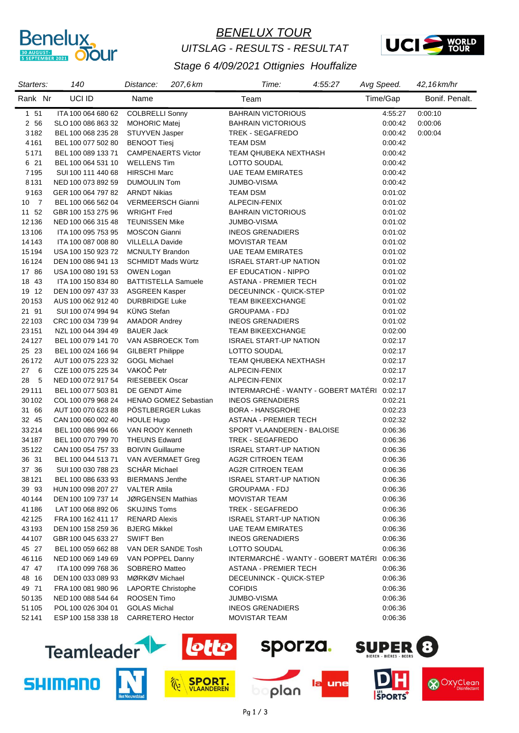

# *BENELUX TOUR UITSLAG - RESULTS - RESULTAT*



#### *Stage 6 4/09/2021 Ottignies Houffalize*

| Starters: | 140                              | 207,6 km<br>Distance:        | Time:                                       | 4:55:27 | Avg Speed. | 42,16 km/hr    |
|-----------|----------------------------------|------------------------------|---------------------------------------------|---------|------------|----------------|
| Rank Nr   | UCI ID                           | Name                         | Team                                        |         | Time/Gap   | Bonif. Penalt. |
| 1 51      | ITA 100 064 680 62               | <b>COLBRELLI Sonny</b>       | <b>BAHRAIN VICTORIOUS</b>                   |         | 4:55:27    | 0:00:10        |
| 2 56      | SLO 100 086 863 32               | <b>MOHORIC Matej</b>         | <b>BAHRAIN VICTORIOUS</b>                   |         | 0:00:42    | 0.00:06        |
| 3182      | BEL 100 068 235 28               | STUYVEN Jasper               | TREK - SEGAFREDO                            |         | 0:00:42    | 0:00:04        |
| 4161      | BEL 100 077 502 80               | <b>BENOOT Tiesi</b>          | TEAM DSM                                    |         | 0:00:42    |                |
| 5171      | BEL 100 089 133 71               | <b>CAMPENAERTS Victor</b>    | TEAM QHUBEKA NEXTHASH                       |         | 0:00:42    |                |
| 6 21      | BEL 100 064 531 10               | <b>WELLENS Tim</b>           | LOTTO SOUDAL                                |         | 0:00:42    |                |
| 7195      | SUI 100 111 440 68               | <b>HIRSCHI Marc</b>          | <b>UAE TEAM EMIRATES</b>                    |         | 0:00:42    |                |
| 8131      | NED 100 073 892 59               | <b>DUMOULIN Tom</b>          | JUMBO-VISMA                                 |         | 0:00:42    |                |
| 9163      | GER 100 064 797 82               | <b>ARNDT Nikias</b>          | TEAM DSM                                    |         | 0:01:02    |                |
| 10 7      | BEL 100 066 562 04               | <b>VERMEERSCH Gianni</b>     | ALPECIN-FENIX                               |         | 0:01:02    |                |
| 11 52     | GBR 100 153 275 96               | <b>WRIGHT Fred</b>           | <b>BAHRAIN VICTORIOUS</b>                   |         | 0:01:02    |                |
| 12136     | NED 100 066 315 48               | <b>TEUNISSEN Mike</b>        | JUMBO-VISMA                                 |         | 0:01:02    |                |
| 13106     | ITA 100 095 753 95               | <b>MOSCON Gianni</b>         | <b>INEOS GRENADIERS</b>                     |         | 0:01:02    |                |
| 14143     | ITA 100 087 008 80               | <b>VILLELLA Davide</b>       | <b>MOVISTAR TEAM</b>                        |         | 0:01:02    |                |
| 15194     | USA 100 150 923 72               | <b>MCNULTY Brandon</b>       | <b>UAE TEAM EMIRATES</b>                    |         | 0:01:02    |                |
| 16124     | DEN 100 086 941 13               | <b>SCHMIDT Mads Würtz</b>    | <b>ISRAEL START-UP NATION</b>               |         | 0:01:02    |                |
| 17 86     | USA 100 080 191 53               | OWEN Logan                   | EF EDUCATION - NIPPO                        |         | 0:01:02    |                |
| 18 43     | ITA 100 150 834 80               | <b>BATTISTELLA Samuele</b>   | ASTANA - PREMIER TECH                       |         | 0:01:02    |                |
| 19 12     | DEN 100 097 437 33               | <b>ASGREEN Kasper</b>        | DECEUNINCK - QUICK-STEP                     |         | 0:01:02    |                |
| 20153     | AUS 100 062 912 40               | <b>DURBRIDGE Luke</b>        | <b>TEAM BIKEEXCHANGE</b>                    |         | 0:01:02    |                |
| 21 91     | SUI 100 074 994 94               | <b>KÜNG Stefan</b>           | <b>GROUPAMA - FDJ</b>                       |         | 0:01:02    |                |
| 22103     | CRC 100 034 739 94               | <b>AMADOR Andrey</b>         | <b>INEOS GRENADIERS</b>                     |         | 0:01:02    |                |
| 23151     | NZL 100 044 394 49               | <b>BAUER Jack</b>            | TEAM BIKEEXCHANGE                           |         | 0:02:00    |                |
| 24 1 27   | BEL 100 079 141 70               | VAN ASBROECK Tom             | <b>ISRAEL START-UP NATION</b>               |         | 0:02:17    |                |
| 25 23     | BEL 100 024 166 94               | <b>GILBERT Philippe</b>      | LOTTO SOUDAL                                |         | 0:02:17    |                |
| 26172     | AUT 100 075 223 32               | <b>GOGL Michael</b>          | TEAM QHUBEKA NEXTHASH                       |         | 0:02:17    |                |
| 276       | CZE 100 075 225 34               | VAKOČ Petr                   | ALPECIN-FENIX                               |         | 0:02:17    |                |
| 28<br>- 5 | NED 100 072 917 54               | <b>RIESEBEEK Oscar</b>       | ALPECIN-FENIX                               |         | 0:02:17    |                |
| 29111     | BEL 100 077 503 81               | DE GENDT Aime                | INTERMARCHÉ - WANTY - GOBERT MATÉRI 0:02:17 |         |            |                |
| 30102     | COL 100 079 968 24               | <b>HENAO GOMEZ Sebastian</b> | <b>INEOS GRENADIERS</b>                     |         | 0.02.21    |                |
| 31 66     | AUT 100 070 623 88               | PÖSTLBERGER Lukas            | <b>BORA - HANSGROHE</b>                     |         | 0:02:23    |                |
| 32 45     | CAN 100 060 002 40               | <b>HOULE Hugo</b>            | <b>ASTANA - PREMIER TECH</b>                |         | 0:02:32    |                |
| 33214     | BEL 100 086 994 66               | VAN ROOY Kenneth             | SPORT VLAANDEREN - BALOISE                  |         | 0:06:36    |                |
| 34 187    | BEL 100 070 799 70               | <b>THEUNS Edward</b>         | TREK - SEGAFREDO                            |         | 0:06:36    |                |
| 35122     | CAN 100 054 757 33               | <b>BOIVIN Guillaume</b>      | <b>ISRAEL START-UP NATION</b>               |         | 0:06:36    |                |
| 36 31     | BEL 100 044 513 71               | VAN AVERMAET Greg            | AG2R CITROEN TEAM                           |         | 0:06:36    |                |
| 37 36     | SUI 100 030 788 23 SCHÄR Michael |                              | <b>AG2R CITROEN TEAM</b>                    |         | 0:06:36    |                |
| 38 121    | BEL 100 086 633 93               | <b>BIERMANS Jenthe</b>       | ISRAEL START-UP NATION                      |         | 0:06:36    |                |
| 39 93     | HUN 100 098 207 27               | <b>VALTER Attila</b>         | GROUPAMA - FDJ                              |         | 0:06:36    |                |
| 40 144    | DEN 100 109 737 14               | JØRGENSEN Mathias            | <b>MOVISTAR TEAM</b>                        |         | 0:06:36    |                |
| 41186     | LAT 100 068 892 06               | <b>SKUJINS Toms</b>          | TREK - SEGAFREDO                            |         | 0:06:36    |                |
| 42125     | FRA 100 162 411 17               | <b>RENARD Alexis</b>         | <b>ISRAEL START-UP NATION</b>               |         | 0:06:36    |                |
| 43193     | DEN 100 158 259 36               | <b>BJERG Mikkel</b>          | UAE TEAM EMIRATES                           |         | 0:06:36    |                |
| 44 107    | GBR 100 045 633 27               | SWIFT Ben                    | <b>INEOS GRENADIERS</b>                     |         | 0:06:36    |                |
| 45 27     | BEL 100 059 662 88               | VAN DER SANDE Tosh           | LOTTO SOUDAL                                |         | 0:06:36    |                |
| 46116     | NED 100 069 149 69               | VAN POPPEL Danny             | INTERMARCHÉ - WANTY - GOBERT MATÉRI         |         | 0:06:36    |                |
| 47 47     | ITA 100 099 768 36               | <b>SOBRERO Matteo</b>        | ASTANA - PREMIER TECH                       |         | 0:06:36    |                |
| 48 16     | DEN 100 033 089 93               | MØRKØV Michael               | DECEUNINCK - QUICK-STEP                     |         | 0:06:36    |                |
| 49 71     | FRA 100 081 980 96               | <b>LAPORTE Christophe</b>    | <b>COFIDIS</b>                              |         | 0:06:36    |                |
| 50135     | NED 100 088 544 64               | ROOSEN Timo                  | JUMBO-VISMA                                 |         | 0:06:36    |                |
| 51 105    | POL 100 026 304 01               | <b>GOLAS Michal</b>          | <b>INEOS GRENADIERS</b>                     |         | 0:06:36    |                |
| 52141     | ESP 100 158 338 18               | <b>CARRETERO Hector</b>      | <b>MOVISTAR TEAM</b>                        |         | 0:06:36    |                |
|           |                                  |                              |                                             |         |            |                |





plan

une



**& Oxyclean**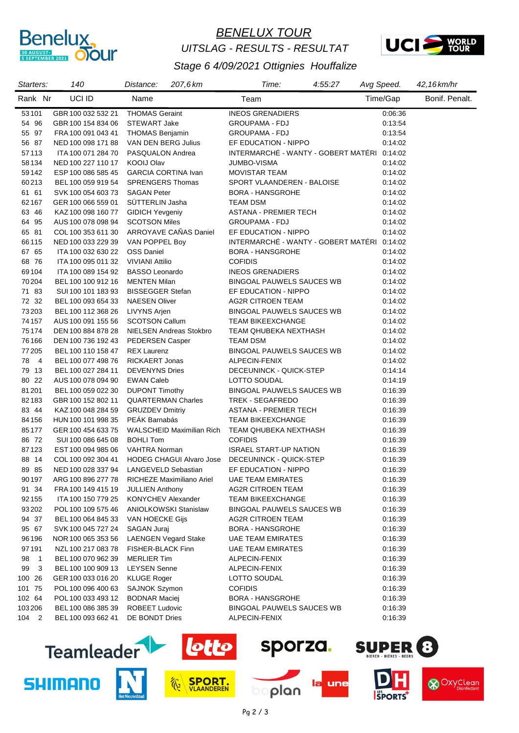

# *BENELUX TOUR UITSLAG - RESULTS - RESULTAT*



| Starters:            | 140                | 207,6 km<br>Distance:           | Time:                                       | 4:55:27 | Avg Speed. | 42,16km/hr     |
|----------------------|--------------------|---------------------------------|---------------------------------------------|---------|------------|----------------|
| Rank Nr              | UCI ID             | Name                            | Team                                        |         | Time/Gap   | Bonif. Penalt. |
| 53101                | GBR 100 032 532 21 | <b>THOMAS Geraint</b>           | <b>INEOS GRENADIERS</b>                     |         | 0:06:36    |                |
| 54 96                | GBR 100 154 834 06 | <b>STEWART Jake</b>             | <b>GROUPAMA - FDJ</b>                       |         | 0:13:54    |                |
| 55 97                | FRA 100 091 043 41 | <b>THOMAS Benjamin</b>          | <b>GROUPAMA - FDJ</b>                       |         | 0:13:54    |                |
| 56 87                | NED 100 098 171 88 | VAN DEN BERG Julius             | EF EDUCATION - NIPPO                        |         | 0:14:02    |                |
| 57113                | ITA 100 071 284 70 | PASQUALON Andrea                | INTERMARCHÉ - WANTY - GOBERT MATÉRI 0:14:02 |         |            |                |
| 58134                | NED 100 227 110 17 | <b>KOOIJ Olav</b>               | JUMBO-VISMA                                 |         | 0:14:02    |                |
| 59142                | ESP 100 086 585 45 | <b>GARCIA CORTINA Ivan</b>      | <b>MOVISTAR TEAM</b>                        |         | 0:14:02    |                |
| 60213                | BEL 100 059 919 54 | <b>SPRENGERS Thomas</b>         | SPORT VLAANDEREN - BALOISE                  |         | 0:14:02    |                |
| 61 61                | SVK 100 054 603 73 | <b>SAGAN Peter</b>              | BORA - HANSGROHE                            |         | 0:14:02    |                |
| 62 167               | GER 100 066 559 01 | SÜTTERLIN Jasha                 | <b>TEAM DSM</b>                             |         | 0:14:02    |                |
| 63 46                | KAZ 100 098 160 77 | <b>GIDICH Yevgeniy</b>          | ASTANA - PREMIER TECH                       |         | 0:14:02    |                |
| 64 95                | AUS 100 078 098 94 | <b>SCOTSON Miles</b>            | <b>GROUPAMA - FDJ</b>                       |         | 0:14:02    |                |
| 65 81                | COL 100 353 611 30 | ARROYAVE CAÑAS Daniel           | EF EDUCATION - NIPPO                        |         | 0:14:02    |                |
| 66115                | NED 100 033 229 39 | VAN POPPEL Boy                  | INTERMARCHÉ - WANTY - GOBERT MATÉRI 0:14:02 |         |            |                |
| 67 65                | ITA 100 032 630 22 | <b>OSS Daniel</b>               | <b>BORA - HANSGROHE</b>                     |         | 0:14:02    |                |
| 68 76                | ITA 100 095 011 32 | <b>VIVIANI Attilio</b>          | <b>COFIDIS</b>                              |         | 0:14:02    |                |
| 69104                | ITA 100 089 154 92 | <b>BASSO Leonardo</b>           | <b>INEOS GRENADIERS</b>                     |         | 0:14:02    |                |
| 70 204               | BEL 100 100 912 16 | <b>MENTEN Milan</b>             | <b>BINGOAL PAUWELS SAUCES WB</b>            |         | 0:14:02    |                |
| 71 83                | SUI 100 101 183 93 | <b>BISSEGGER Stefan</b>         | EF EDUCATION - NIPPO                        |         | 0:14:02    |                |
| 72 32                | BEL 100 093 654 33 | <b>NAESEN Oliver</b>            | <b>AG2R CITROEN TEAM</b>                    |         | 0:14:02    |                |
| 73203                | BEL 100 112 368 26 | <b>LIVYNS Arjen</b>             | <b>BINGOAL PAUWELS SAUCES WB</b>            |         | 0:14:02    |                |
| 74 157               | AUS 100 091 155 56 | <b>SCOTSON Callum</b>           | <b>TEAM BIKEEXCHANGE</b>                    |         | 0:14:02    |                |
| 75174                | DEN 100 884 878 28 | NIELSEN Andreas Stokbro         | TEAM QHUBEKA NEXTHASH                       |         | 0:14:02    |                |
| 76 166               | DEN 100 736 192 43 | PEDERSEN Casper                 | <b>TEAM DSM</b>                             |         | 0:14:02    |                |
| 77 205               | BEL 100 110 158 47 | <b>REX Laurenz</b>              | <b>BINGOAL PAUWELS SAUCES WB</b>            |         | 0:14:02    |                |
| 78 4                 | BEL 100 077 498 76 | <b>RICKAERT Jonas</b>           | ALPECIN-FENIX                               |         | 0:14:02    |                |
| 79 13                | BEL 100 027 284 11 | <b>DEVENYNS Dries</b>           | DECEUNINCK - QUICK-STEP                     |         | 0:14:14    |                |
| 80 22                | AUS 100 078 094 90 | <b>EWAN Caleb</b>               | LOTTO SOUDAL                                |         | 0:14:19    |                |
| 81201                | BEL 100 059 022 30 | <b>DUPONT Timothy</b>           | <b>BINGOAL PAUWELS SAUCES WB</b>            |         | 0:16:39    |                |
| 82183                | GBR 100 152 802 11 | <b>QUARTERMAN Charles</b>       | TREK - SEGAFREDO                            |         | 0:16:39    |                |
| 83 44                | KAZ 100 048 284 59 | <b>GRUZDEV Dmitriy</b>          | <b>ASTANA - PREMIER TECH</b>                |         | 0:16:39    |                |
| 84 156               | HUN 100 101 998 35 | PEÁK Barnabás                   | <b>TEAM BIKEEXCHANGE</b>                    |         | 0:16:39    |                |
| 85177                | GER 100 454 633 75 | WALSCHEID Maximilian Rich       | TEAM QHUBEKA NEXTHASH                       |         | 0:16:39    |                |
| 86 72                | SUI 100 086 645 08 | <b>BOHLI Tom</b>                | <b>COFIDIS</b>                              |         | 0:16:39    |                |
| 87123                | EST 100 094 985 06 | VAHTRA Norman                   | <b>ISRAEL START-UP NATION</b>               |         | 0:16:39    |                |
| 88 14                | COL 100 092 304 41 | <b>HODEG CHAGUI Alvaro Jose</b> | DECEUNINCK - QUICK-STEP                     |         | 0:16:39    |                |
| 89 85                | NED 100 028 337 94 | LANGEVELD Sebastian             | EF EDUCATION - NIPPO                        |         | 0:16:39    |                |
| 90197                | ARG 100 896 277 78 | RICHEZE Maximiliano Ariel       | <b>UAE TEAM EMIRATES</b>                    |         | 0:16:39    |                |
| 91 34                | FRA 100 149 415 19 | <b>JULLIEN Anthony</b>          | <b>AG2R CITROEN TEAM</b>                    |         | 0:16:39    |                |
| 92 155               | ITA 100 150 779 25 | <b>KONYCHEV Alexander</b>       | TEAM BIKEEXCHANGE                           |         | 0:16:39    |                |
| 93 202               | POL 100 109 575 46 | <b>ANIOLKOWSKI Stanislaw</b>    | <b>BINGOAL PAUWELS SAUCES WB</b>            |         | 0:16:39    |                |
| 94 37                | BEL 100 064 845 33 | VAN HOECKE Gijs                 | AG2R CITROEN TEAM                           |         | 0:16:39    |                |
| 95 67                | SVK 100 045 727 24 | SAGAN Juraj                     | BORA - HANSGROHE                            |         | 0:16:39    |                |
| 96 196               | NOR 100 065 353 56 | <b>LAENGEN Vegard Stake</b>     | <b>UAE TEAM EMIRATES</b>                    |         | 0:16:39    |                |
| 97191                | NZL 100 217 083 78 | FISHER-BLACK Finn               | <b>UAE TEAM EMIRATES</b>                    |         | 0:16:39    |                |
| 98<br>$\overline{1}$ | BEL 100 070 962 39 | <b>MERLIER Tim</b>              | ALPECIN-FENIX                               |         | 0:16:39    |                |
| 3<br>99              | BEL 100 100 909 13 | <b>LEYSEN Senne</b>             | ALPECIN-FENIX                               |         | 0:16:39    |                |
| 100 26               | GER 100 033 016 20 | <b>KLUGE Roger</b>              | LOTTO SOUDAL                                |         | 0:16:39    |                |
| 101 75               | POL 100 096 400 63 | <b>SAJNOK Szymon</b>            | <b>COFIDIS</b>                              |         | 0:16:39    |                |
| 102 64               | POL 100 033 493 12 | <b>BODNAR Maciej</b>            | BORA - HANSGROHE                            |         | 0:16:39    |                |
| 103 206              | BEL 100 086 385 39 | <b>ROBEET Ludovic</b>           | BINGOAL PAUWELS SAUCES WB                   |         | 0:16:39    |                |
| 104 2                | BEL 100 093 662 41 | DE BONDT Dries                  | ALPECIN-FENIX                               |         | 0:16:39    |                |



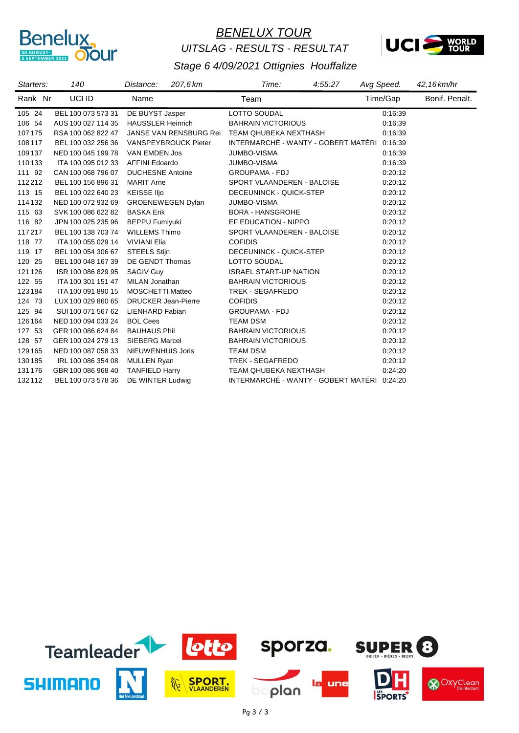

# *BENELUX TOUR UITSLAG - RESULTS - RESULTAT*



| Starters: | 140                | 207,6 km<br>Distance:         | 4:55:27<br>Time:                            | Avg Speed. | 42,16 km/hr    |
|-----------|--------------------|-------------------------------|---------------------------------------------|------------|----------------|
| Rank Nr   | UCI ID             | Name                          | Team                                        | Time/Gap   | Bonif. Penalt. |
| 105 24    | BEL 100 073 573 31 | DE BUYST Jasper               | LOTTO SOUDAL                                | 0:16:39    |                |
| 106 54    | AUS 100 027 114 35 | <b>HAUSSLER Heinrich</b>      | <b>BAHRAIN VICTORIOUS</b>                   | 0:16:39    |                |
| 107175    | RSA 100 062 822 47 | <b>JANSE VAN RENSBURG Rei</b> | <b>TEAM QHUBEKA NEXTHASH</b>                | 0.16.39    |                |
| 108 117   | BEL 100 032 256 36 | <b>VANSPEYBROUCK Pieter</b>   | INTERMARCHÉ - WANTY - GOBERT MATÉRI 0:16:39 |            |                |
| 109 137   | NED 100 045 199 78 | VAN EMDEN Jos                 | <b>JUMBO-VISMA</b>                          | 0.16.39    |                |
| 110133    | ITA 100 095 012 33 | <b>AFFINI Edoardo</b>         | <b>JUMBO-VISMA</b>                          | 0.16.39    |                |
| 111 92    | CAN 100 068 796 07 | <b>DUCHESNE Antoine</b>       | <b>GROUPAMA - FDJ</b>                       | 0:20:12    |                |
| 112212    | BEL 100 156 896 31 | <b>MARIT Arne</b>             | SPORT VLAANDEREN - BALOISE                  | 0:20:12    |                |
| 113 15    | BEL 100 022 640 23 | <b>KEISSE IIjo</b>            | DECEUNINCK - QUICK-STEP                     | 0:20:12    |                |
| 114 132   | NED 100 072 932 69 | <b>GROENEWEGEN Dylan</b>      | JUMBO-VISMA                                 | 0:20:12    |                |
| 115 63    | SVK 100 086 622 82 | <b>BASKA Erik</b>             | <b>BORA - HANSGROHE</b>                     | 0:20:12    |                |
| 116 82    | JPN 100 025 235 96 | <b>BEPPU Fumiyuki</b>         | EF EDUCATION - NIPPO                        | 0:20:12    |                |
| 117217    | BEL 100 138 703 74 | <b>WILLEMS Thimo</b>          | SPORT VLAANDEREN - BALOISE                  | 0:20:12    |                |
| 118 77    | ITA 100 055 029 14 | <b>VIVIANI Elia</b>           | <b>COFIDIS</b>                              | 0:20:12    |                |
| 119 17    | BEL 100 054 306 67 | <b>STEELS Stijn</b>           | DECEUNINCK - QUICK-STEP                     | 0:20:12    |                |
| 120 25    | BEL 100 048 167 39 | DE GENDT Thomas               | LOTTO SOUDAL                                | 0:20:12    |                |
| 121 126   | ISR 100 086 829 95 | <b>SAGIV Guy</b>              | <b>ISRAEL START-UP NATION</b>               | 0:20:12    |                |
| 122 55    | ITA 100 301 151 47 | MILAN Jonathan                | <b>BAHRAIN VICTORIOUS</b>                   | 0:20:12    |                |
| 123184    | ITA 100 091 890 15 | <b>MOSCHETTI Matteo</b>       | <b>TREK - SEGAFREDO</b>                     | 0:20:12    |                |
| 124 73    | LUX 100 029 860 65 | <b>DRUCKER Jean-Pierre</b>    | <b>COFIDIS</b>                              | 0:20:12    |                |
| 125 94    | SUI 100 071 567 62 | <b>LIENHARD Fabian</b>        | <b>GROUPAMA - FDJ</b>                       | 0:20:12    |                |
| 126 164   | NED 100 094 033 24 | <b>BOL Cees</b>               | <b>TEAM DSM</b>                             | 0:20:12    |                |
| 127 53    | GER 100 086 624 84 | <b>BAUHAUS Phil</b>           | <b>BAHRAIN VICTORIOUS</b>                   | 0:20:12    |                |
| 128 57    | GER 100 024 279 13 | <b>SIEBERG Marcel</b>         | <b>BAHRAIN VICTORIOUS</b>                   | 0:20:12    |                |
| 129 165   | NED 100 087 058 33 | NIEUWENHUIS Joris             | <b>TEAM DSM</b>                             | 0:20:12    |                |
| 130 185   | IRL 100 086 354 08 | <b>MULLEN Ryan</b>            | <b>TREK - SEGAFREDO</b>                     | 0:20:12    |                |
| 131 176   | GBR 100 086 968 40 | <b>TANFIELD Harry</b>         | TEAM QHUBEKA NEXTHASH                       | 0.24:20    |                |
| 132112    | BEL 100 073 578 36 | DE WINTER Ludwig              | INTERMARCHÉ - WANTY - GOBERT MATÉRI         | 0:24:20    |                |

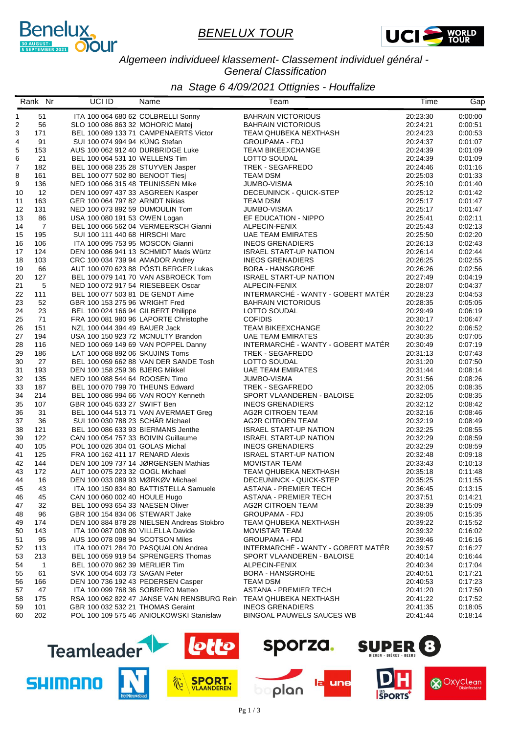



*Algemeen individueel klassement- Classement individuel général - General Classification*

*na Stage 6 4/09/2021 Ottignies - Houffalize*

|          | Rank Nr              | UCI ID                                                           | Name                                       | Team                                      | Time                 | Gap                |
|----------|----------------------|------------------------------------------------------------------|--------------------------------------------|-------------------------------------------|----------------------|--------------------|
| 1        | 51                   |                                                                  | ITA 100 064 680 62 COLBRELLI Sonny         | <b>BAHRAIN VICTORIOUS</b>                 | 20:23:30             | 0:00:00            |
| 2        | 56                   | SLO 100 086 863 32 MOHORIC Matej                                 |                                            | <b>BAHRAIN VICTORIOUS</b>                 | 20:24:21             | 0:00:51            |
| 3        | 171                  |                                                                  | BEL 100 089 133 71 CAMPENAERTS Victor      | TEAM QHUBEKA NEXTHASH                     | 20:24:23             | 0:00:53            |
| 4        | 91                   | SUI 100 074 994 94 KÜNG Stefan                                   |                                            | <b>GROUPAMA - FDJ</b>                     | 20:24:37             | 0:01:07            |
| 5        | 153                  |                                                                  | AUS 100 062 912 40 DURBRIDGE Luke          | <b>TEAM BIKEEXCHANGE</b>                  | 20:24:39             | 0:01:09            |
| 6        | 21                   | BEL 100 064 531 10 WELLENS Tim                                   |                                            | LOTTO SOUDAL                              | 20:24:39             | 0:01:09            |
| 7        | 182                  |                                                                  | BEL 100 068 235 28 STUYVEN Jasper          | TREK - SEGAFREDO                          | 20:24:46             | 0:01:16            |
| 8        | 161                  | BEL 100 077 502 80 BENOOT Tiesj                                  |                                            | <b>TEAM DSM</b>                           | 20:25:03             | 0:01:33            |
| 9        | 136                  |                                                                  | NED 100 066 315 48 TEUNISSEN Mike          | JUMBO-VISMA                               | 20:25:10             | 0:01:40            |
| 10       | 12                   |                                                                  | DEN 100 097 437 33 ASGREEN Kasper          | DECEUNINCK - QUICK-STEP                   | 20:25:12             | 0:01:42            |
| 11       | 163                  | GER 100 064 797 82 ARNDT Nikias                                  |                                            | <b>TEAM DSM</b><br><b>JUMBO-VISMA</b>     | 20:25:17             | 0:01:47            |
| 12       | 131                  | NED 100 073 892 59 DUMOULIN Tom<br>USA 100 080 191 53 OWEN Logan |                                            | EF EDUCATION - NIPPO                      | 20:25:17             | 0:01:47<br>0:02:11 |
| 13<br>14 | 86<br>$\overline{7}$ |                                                                  | BEL 100 066 562 04 VERMEERSCH Gianni       |                                           | 20:25:41<br>20:25:43 | 0:02:13            |
| 15       | 195                  | SUI 100 111 440 68 HIRSCHI Marc                                  |                                            | ALPECIN-FENIX<br><b>UAE TEAM EMIRATES</b> | 20:25:50             | 0:02:20            |
| 16       | 106                  |                                                                  | ITA 100 095 753 95 MOSCON Gianni           | <b>INEOS GRENADIERS</b>                   | 20:26:13             | 0:02:43            |
| 17       | 124                  |                                                                  | DEN 100 086 941 13 SCHMIDT Mads Würtz      | <b>ISRAEL START-UP NATION</b>             | 20:26:14             | 0:02:44            |
| 18       | 103                  | CRC 100 034 739 94 AMADOR Andrey                                 |                                            | <b>INEOS GRENADIERS</b>                   | 20:26:25             | 0:02:55            |
| 19       | 66                   |                                                                  | AUT 100 070 623 88 PÖSTLBERGER Lukas       | <b>BORA - HANSGROHE</b>                   | 20:26:26             | 0:02:56            |
| 20       | 127                  |                                                                  | BEL 100 079 141 70 VAN ASBROECK Tom        | <b>ISRAEL START-UP NATION</b>             | 20:27:49             | 0:04:19            |
| 21       | 5                    |                                                                  | NED 100 072 917 54 RIESEBEEK Oscar         | ALPECIN-FENIX                             | 20:28:07             | 0:04:37            |
| 22       | 111                  |                                                                  | BEL 100 077 503 81 DE GENDT Aime           | INTERMARCHÉ - WANTY - GOBERT MATÉR        | 20:28:23             | 0:04:53            |
| 23       | 52                   | GBR 100 153 275 96 WRIGHT Fred                                   |                                            | <b>BAHRAIN VICTORIOUS</b>                 | 20:28:35             | 0:05:05            |
| 24       | 23                   |                                                                  | BEL 100 024 166 94 GILBERT Philippe        | LOTTO SOUDAL                              | 20:29:49             | 0:06:19            |
| 25       | 71                   |                                                                  | FRA 100 081 980 96 LAPORTE Christophe      | <b>COFIDIS</b>                            | 20:30:17             | 0:06:47            |
| 26       | 151                  | NZL 100 044 394 49 BAUER Jack                                    |                                            | <b>TEAM BIKEEXCHANGE</b>                  | 20:30:22             | 0:06:52            |
| 27       | 194                  |                                                                  | USA 100 150 923 72 MCNULTY Brandon         | <b>UAE TEAM EMIRATES</b>                  | 20:30:35             | 0:07:05            |
| 28       | 116                  |                                                                  | NED 100 069 149 69 VAN POPPEL Danny        | INTERMARCHÉ - WANTY - GOBERT MATÉR        | 20:30:49             | 0:07:19            |
| 29       | 186                  | LAT 100 068 892 06 SKUJINS Toms                                  |                                            | TREK - SEGAFREDO                          | 20:31:13             | 0:07:43            |
| 30       | 27                   |                                                                  | BEL 100 059 662 88 VAN DER SANDE Tosh      | LOTTO SOUDAL                              | 20:31:20             | 0:07:50            |
| 31       | 193                  | DEN 100 158 259 36 BJERG Mikkel                                  |                                            | <b>UAE TEAM EMIRATES</b>                  | 20:31:44             | 0:08:14            |
| 32       | 135                  | NED 100 088 544 64 ROOSEN Timo                                   |                                            | JUMBO-VISMA                               | 20:31:56             | 0:08:26            |
| 33       | 187                  |                                                                  | BEL 100 070 799 70 THEUNS Edward           | TREK - SEGAFREDO                          | 20:32:05             | 0:08:35            |
| 34       | 214                  |                                                                  | BEL 100 086 994 66 VAN ROOY Kenneth        | SPORT VLAANDEREN - BALOISE                | 20:32:05             | 0:08:35            |
| 35       | 107                  | GBR 100 045 633 27 SWIFT Ben                                     |                                            | <b>INEOS GRENADIERS</b>                   | 20:32:12             | 0:08:42            |
| 36       | 31                   |                                                                  | BEL 100 044 513 71 VAN AVERMAET Greg       | <b>AG2R CITROEN TEAM</b>                  | 20:32:16             | 0:08:46            |
| 37       | 36                   | SUI 100 030 788 23 SCHÄR Michael                                 |                                            | AG2R CITROEN TEAM                         | 20:32:19             | 0:08:49            |
| 38       | 121                  |                                                                  | BEL 100 086 633 93 BIERMANS Jenthe         | <b>ISRAEL START-UP NATION</b>             | 20:32:25             | 0:08:55            |
| 39       | 122                  |                                                                  | CAN 100 054 757 33 BOIVIN Guillaume        | <b>ISRAEL START-UP NATION</b>             | 20:32:29             | 0:08:59            |
| 40       | 105                  | POL 100 026 304 01 GOLAS Michal                                  |                                            | <b>INEOS GRENADIERS</b>                   | 20:32:29             | 0:08:59            |
| 41       | 125                  | FRA 100 162 411 17 RENARD Alexis                                 |                                            | <b>ISRAEL START-UP NATION</b>             | 20:32:48             | 0:09:18            |
| 42       | 144                  |                                                                  | DEN 100 109 737 14 JØRGENSEN Mathias       | <b>MOVISTAR TEAM</b>                      | 20:33:43             | 0:10:13            |
| 43       | 172                  | AUT 100 075 223 32 GOGL Michael                                  |                                            | TEAM QHUBEKA NEXTHASH                     | 20:35:18             | 0:11:48            |
| 44       | 16                   |                                                                  | DEN 100 033 089 93 MØRKØV Michael          | DECEUNINCK - QUICK-STEP                   | 20:35:25             | 0:11:55            |
| 45       | 43                   |                                                                  | ITA 100 150 834 80 BATTISTELLA Samuele     | <b>ASTANA - PREMIER TECH</b>              | 20:36:45             | 0:13:15            |
| 46       | 45                   | CAN 100 060 002 40 HOULE Hugo                                    |                                            | <b>ASTANA - PREMIER TECH</b>              | 20:37:51             | 0:14:21            |
| 47       | 32                   | BEL 100 093 654 33 NAESEN Oliver                                 |                                            | <b>AG2R CITROEN TEAM</b>                  | 20:38:39             | 0:15:09            |
| 48       | 96                   | GBR 100 154 834 06 STEWART Jake                                  |                                            | <b>GROUPAMA - FDJ</b>                     | 20:39:05             | 0:15:35            |
| 49       | 174                  |                                                                  | DEN 100 884 878 28 NIELSEN Andreas Stokbro | TEAM QHUBEKA NEXTHASH                     | 20:39:22             | 0:15:52            |
| 50       | 143                  |                                                                  | ITA 100 087 008 80 VILLELLA Davide         | <b>MOVISTAR TEAM</b>                      | 20:39:32             | 0:16:02            |
| 51       | 95                   | AUS 100 078 098 94 SCOTSON Miles                                 |                                            | <b>GROUPAMA - FDJ</b>                     | 20:39:46             | 0:16:16            |
| 52       | 113                  |                                                                  | ITA 100 071 284 70 PASQUALON Andrea        | INTERMARCHE - WANTY - GOBERT MATER        | 20:39:57             | 0:16:27            |
| 53       | 213                  |                                                                  | BEL 100 059 919 54 SPRENGERS Thomas        | SPORT VLAANDEREN - BALOISE                | 20:40:14             | 0:16:44            |
| 54       | $\overline{1}$       | BEL 100 070 962 39 MERLIER Tim                                   |                                            | ALPECIN-FENIX                             | 20:40:34             | 0:17:04            |
| 55       | 61                   | SVK 100 054 603 73 SAGAN Peter                                   |                                            | <b>BORA - HANSGROHE</b>                   | 20:40:51             | 0:17:21            |
| 56       | 166                  |                                                                  | DEN 100 736 192 43 PEDERSEN Casper         | TEAM DSM                                  | 20:40:53             | 0:17:23            |
| 57       | 47                   |                                                                  | ITA 100 099 768 36 SOBRERO Matteo          | ASTANA - PREMIER TECH                     | 20:41:20             | 0:17:50            |
| 58       | 175                  |                                                                  | RSA 100 062 822 47 JANSE VAN RENSBURG Rein | TEAM QHUBEKA NEXTHASH                     | 20:41:22             | 0:17:52            |
| 59       | 101                  | GBR 100 032 532 21 THOMAS Geraint                                |                                            | <b>INEOS GRENADIERS</b>                   | 20:41:35             | 0:18:05            |
| 60       | 202                  |                                                                  | POL 100 109 575 46 ANIOLKOWSKI Stanislaw   | <b>BINGOAL PAUWELS SAUCES WB</b>          | 20:41:44             | 0:18:14            |





plan

une



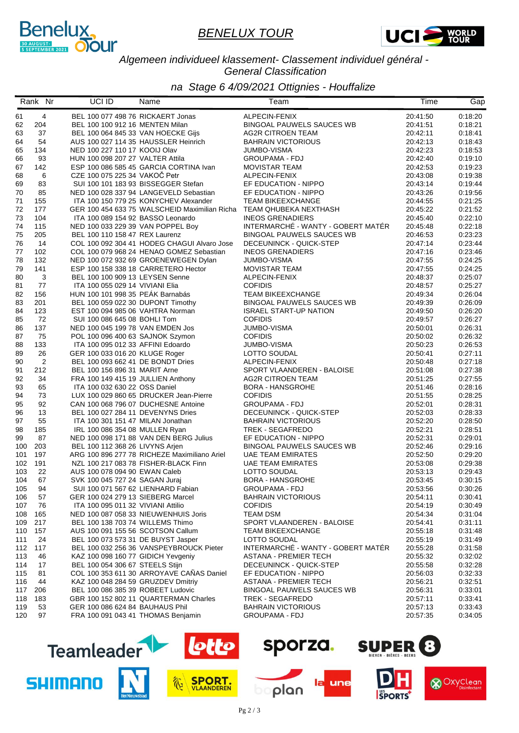



*Algemeen individueel klassement- Classement individuel général - General Classification*

*na Stage 6 4/09/2021 Ottignies - Houffalize*

|          | Rank Nr        | UCI ID                                                              | Name                                                                | Team                                                   | Time                 | Gap                |
|----------|----------------|---------------------------------------------------------------------|---------------------------------------------------------------------|--------------------------------------------------------|----------------------|--------------------|
| 61       | $\overline{4}$ | BEL 100 077 498 76 RICKAERT Jonas                                   |                                                                     | ALPECIN-FENIX                                          | 20:41:50             | 0:18:20            |
| 62       | 204            | BEL 100 100 912 16 MENTEN Milan                                     |                                                                     | BINGOAL PAUWELS SAUCES WB                              | 20:41:51             | 0:18:21            |
| 63       | 37             | BEL 100 064 845 33 VAN HOECKE Gijs                                  |                                                                     | <b>AG2R CITROEN TEAM</b>                               | 20:42:11             | 0:18:41            |
| 64       | 54             |                                                                     | AUS 100 027 114 35 HAUSSLER Heinrich                                | <b>BAHRAIN VICTORIOUS</b>                              | 20:42:13             | 0:18:43            |
| 65       | 134            | NED 100 227 110 17 KOOIJ Olav                                       |                                                                     | <b>JUMBO-VISMA</b>                                     | 20:42:23             | 0:18:53            |
| 66       | 93             | HUN 100 098 207 27 VALTER Attila                                    |                                                                     | <b>GROUPAMA - FDJ</b>                                  | 20:42:40             | 0:19:10            |
| 67       | 142            |                                                                     | ESP 100 086 585 45 GARCIA CORTINA Ivan                              | <b>MOVISTAR TEAM</b>                                   | 20:42:53             | 0:19:23            |
| 68       | 6              | CZE 100 075 225 34 VAKOČ Petr                                       |                                                                     | ALPECIN-FENIX                                          | 20:43:08             | 0:19:38            |
| 69       | 83             |                                                                     | SUI 100 101 183 93 BISSEGGER Stefan                                 | EF EDUCATION - NIPPO                                   | 20:43:14             | 0:19:44            |
| 70       | 85             |                                                                     | NED 100 028 337 94 LANGEVELD Sebastian                              | EF EDUCATION - NIPPO                                   | 20:43:26             | 0:19:56            |
| 71       | 155            |                                                                     | ITA 100 150 779 25 KONYCHEV Alexander                               | <b>TEAM BIKEEXCHANGE</b>                               | 20:44:55             | 0:21:25            |
| 72       | 177            |                                                                     | GER 100 454 633 75 WALSCHEID Maximilian Richa TEAM QHUBEKA NEXTHASH |                                                        | 20:45:22             | 0:21:52            |
| 73       | 104            | ITA 100 089 154 92 BASSO Leonardo                                   |                                                                     | <b>INEOS GRENADIERS</b>                                | 20:45:40             | 0:22:10            |
| 74       | 115            | NED 100 033 229 39 VAN POPPEL Boy                                   |                                                                     | INTERMARCHÉ - WANTY - GOBERT MATÉR                     | 20:45:48             | 0:22:18            |
| 75       | 205            | BEL 100 110 158 47 REX Laurenz                                      |                                                                     | <b>BINGOAL PAUWELS SAUCES WB</b>                       | 20:46:53             | 0:23:23            |
| 76       | 14             |                                                                     | COL 100 092 304 41 HODEG CHAGUI Alvaro Jose                         | DECEUNINCK - QUICK-STEP                                | 20:47:14             | 0:23:44            |
| 77       | 102            |                                                                     | COL 100 079 968 24 HENAO GOMEZ Sebastian                            | <b>INEOS GRENADIERS</b>                                | 20:47:16             | 0:23:46            |
| 78       | 132            |                                                                     | NED 100 072 932 69 GROENEWEGEN Dylan                                | <b>JUMBO-VISMA</b>                                     | 20:47:55             | 0:24:25            |
| 79       | 141            |                                                                     | ESP 100 158 338 18 CARRETERO Hector                                 | <b>MOVISTAR TEAM</b>                                   | 20:47:55             | 0:24:25            |
| 80       | $\mathbf{3}$   | BEL 100 100 909 13 LEYSEN Senne                                     |                                                                     | ALPECIN-FENIX                                          | 20:48:37             | 0:25:07            |
| 81       | 77             | ITA 100 055 029 14 VIVIANI Elia                                     |                                                                     | <b>COFIDIS</b>                                         | 20:48:57             | 0:25:27            |
| 82       | 156            | HUN 100 101 998 35 PEAK Barnabás                                    |                                                                     | <b>TEAM BIKEEXCHANGE</b>                               | 20:49:34             | 0:26:04            |
| 83       | 201            | BEL 100 059 022 30 DUPONT Timothy                                   |                                                                     | <b>BINGOAL PAUWELS SAUCES WB</b>                       | 20:49:39             | 0:26:09            |
| 84       | 123            | EST 100 094 985 06 VAHTRA Norman                                    |                                                                     | <b>ISRAEL START-UP NATION</b>                          | 20:49:50             | 0:26:20            |
| 85       | 72             | SUI 100 086 645 08 BOHLI Tom                                        |                                                                     | <b>COFIDIS</b>                                         | 20:49:57             | 0:26:27            |
| 86       | 137            | NED 100 045 199 78 VAN EMDEN Jos                                    |                                                                     | <b>JUMBO-VISMA</b>                                     | 20:50:01             | 0:26:31            |
| 87       | 75             | POL 100 096 400 63 SAJNOK Szymon                                    |                                                                     | <b>COFIDIS</b>                                         | 20:50:02             | 0:26:32            |
| 88       | 133<br>26      | ITA 100 095 012 33 AFFINI Edoardo                                   |                                                                     | JUMBO-VISMA                                            | 20:50:23             | 0:26:53            |
| 89       |                | GER 100 033 016 20 KLUGE Roger                                      |                                                                     | LOTTO SOUDAL                                           | 20:50:41             | 0:27:11            |
| 90       | $\overline{c}$ | BEL 100 093 662 41 DE BONDT Dries                                   |                                                                     | ALPECIN-FENIX                                          | 20:50:48             | 0:27:18<br>0:27:38 |
| 91<br>92 | 212<br>34      | BEL 100 156 896 31 MARIT Arne<br>FRA 100 149 415 19 JULLIEN Anthony |                                                                     | SPORT VLAANDEREN - BALOISE<br><b>AG2R CITROEN TEAM</b> | 20:51:08<br>20:51:25 | 0:27:55            |
| 93       | 65             | ITA 100 032 630 22 OSS Daniel                                       |                                                                     | <b>BORA - HANSGROHE</b>                                | 20:51:46             | 0:28:16            |
| 94       | 73             |                                                                     | LUX 100 029 860 65 DRUCKER Jean-Pierre                              | <b>COFIDIS</b>                                         | 20:51:55             | 0:28:25            |
| 95       | 92             |                                                                     | CAN 100 068 796 07 DUCHESNE Antoine                                 | <b>GROUPAMA - FDJ</b>                                  | 20:52:01             | 0.28:31            |
| 96       | 13             | BEL 100 027 284 11 DEVENYNS Dries                                   |                                                                     | DECEUNINCK - QUICK-STEP                                | 20:52:03             | 0:28:33            |
| 97       | 55             | ITA 100 301 151 47 MILAN Jonathan                                   |                                                                     | <b>BAHRAIN VICTORIOUS</b>                              | 20:52:20             | 0:28:50            |
| 98       | 185            | IRL 100 086 354 08 MULLEN Ryan                                      |                                                                     | TREK - SEGAFREDO                                       | 20:52:21             | 0:28:51            |
| 99       | 87             |                                                                     | NED 100 098 171 88 VAN DEN BERG Julius                              | EF EDUCATION - NIPPO                                   | 20:52:31             | 0:29:01            |
| 100      | 203            | BEL 100 112 368 26 LIVYNS Arjen                                     |                                                                     | <b>BINGOAL PAUWELS SAUCES WB</b>                       | 20:52:46             | 0:29:16            |
| 101      | 197            |                                                                     | ARG 100 896 277 78 RICHEZE Maximiliano Ariel                        | <b>UAE TEAM EMIRATES</b>                               | 20:52:50             | 0:29:20            |
| 102      | 191            |                                                                     | NZL 100 217 083 78 FISHER-BLACK Finn                                | <b>UAE TEAM EMIRATES</b>                               | 20:53:08             | 0:29:38            |
| 103      | 22             | AUS 100 078 094 90 EWAN Caleb                                       |                                                                     | LOTTO SOUDAL                                           | 20:53:13             | 0:29:43            |
| 104      | 67             | SVK 100 045 727 24 SAGAN Juraj                                      |                                                                     | <b>BORA - HANSGROHE</b>                                | 20:53:45             | 0:30:15            |
| 105      | 94             | SUI 100 071 567 62 LIENHARD Fabian                                  |                                                                     | <b>GROUPAMA - FDJ</b>                                  | 20:53:56             | 0:30:26            |
| 106      | 57             | GER 100 024 279 13 SIEBERG Marcel                                   |                                                                     | <b>BAHRAIN VICTORIOUS</b>                              | 20:54:11             | 0:30:41            |
| 107      | 76             | ITA 100 095 011 32 VIVIANI Attilio                                  |                                                                     | <b>COFIDIS</b>                                         | 20:54:19             | 0:30:49            |
| 108      | 165            |                                                                     | NED 100 087 058 33 NIEUWENHUIS Joris                                | TEAM DSM                                               | 20:54:34             | 0:31:04            |
| 109      | 217            | BEL 100 138 703 74 WILLEMS Thimo                                    |                                                                     | SPORT VLAANDEREN - BALOISE                             | 20:54:41             | 0:31:11            |
| 110      | 157            | AUS 100 091 155 56 SCOTSON Callum                                   |                                                                     | <b>TEAM BIKEEXCHANGE</b>                               | 20:55:18             | 0:31:48            |
| 111      | 24             | BEL 100 073 573 31 DE BUYST Jasper                                  |                                                                     | LOTTO SOUDAL                                           | 20:55:19             | 0:31:49            |
| 112      | 117            |                                                                     | BEL 100 032 256 36 VANSPEYBROUCK Pieter                             | INTERMARCHÉ - WANTY - GOBERT MATÉR                     | 20:55:28             | 0:31:58            |
| 113      | 46             | KAZ 100 098 160 77 GIDICH Yevgeniy                                  |                                                                     | <b>ASTANA - PREMIER TECH</b>                           | 20:55:32             | 0:32:02            |
| 114      | 17             | BEL 100 054 306 67 STEELS Stijn                                     |                                                                     | DECEUNINCK - QUICK-STEP                                | 20:55:58             | 0:32:28            |
| 115      | 81             |                                                                     | COL 100 353 611 30 ARROYAVE CAÑAS Daniel                            | EF EDUCATION - NIPPO                                   | 20:56:03             | 0:32:33            |
| 116      | 44             | KAZ 100 048 284 59 GRUZDEV Dmitriy                                  |                                                                     | ASTANA - PREMIER TECH                                  | 20:56:21             | 0:32:51            |
| 117      | 206            | BEL 100 086 385 39 ROBEET Ludovic                                   |                                                                     | BINGOAL PAUWELS SAUCES WB                              | 20:56:31             | 0:33:01            |
| 118      | 183            |                                                                     | GBR 100 152 802 11 QUARTERMAN Charles                               | TREK - SEGAFREDO                                       | 20:57:11             | 0:33:41            |
| 119      | 53             | GER 100 086 624 84 BAUHAUS Phil                                     |                                                                     | <b>BAHRAIN VICTORIOUS</b>                              | 20:57:13             | 0:33:43            |
| 120      | 97             | FRA 100 091 043 41 THOMAS Benjamin                                  |                                                                     | <b>GROUPAMA - FDJ</b>                                  | 20:57:35             | 0:34:05            |





plan

une



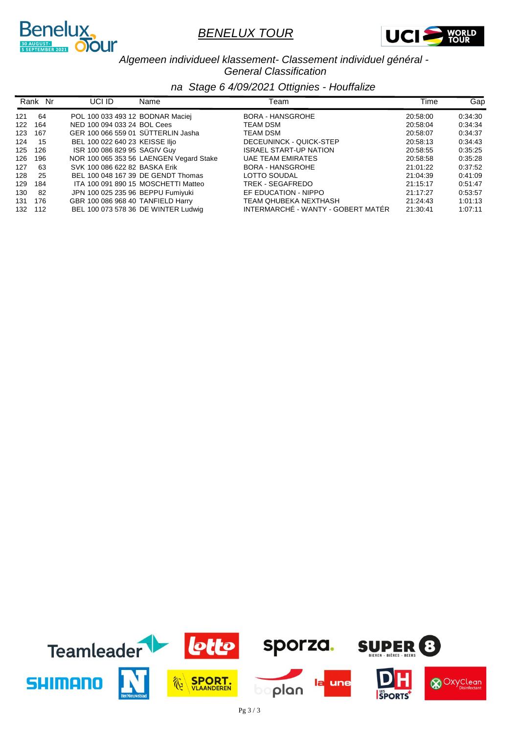



*Algemeen individueel klassement- Classement individuel général - General Classification*

|     | Rank Nr | UCI ID                             | Name                                    | Team                               | Time     | Gap     |
|-----|---------|------------------------------------|-----------------------------------------|------------------------------------|----------|---------|
| 121 | 64      | POL 100 033 493 12 BODNAR Maciej   |                                         | <b>BORA - HANSGROHE</b>            | 20:58:00 | 0.34:30 |
| 122 | 164     | NED 100 094 033 24 BOL Cees        |                                         | TEAM DSM                           | 20:58:04 | 0.34:34 |
| 123 | 167     | GER 100 066 559 01 SÜTTERLIN Jasha |                                         | TEAM DSM                           | 20:58:07 | 0:34:37 |
| 124 | 15      | BEL 100 022 640 23 KEISSE IIjo     |                                         | DECEUNINCK - QUICK-STEP            | 20:58:13 | 0:34:43 |
| 125 | 126     | ISR 100 086 829 95 SAGIV Guy       |                                         | <b>ISRAEL START-UP NATION</b>      | 20:58:55 | 0:35:25 |
| 126 | 196     |                                    | NOR 100 065 353 56 LAENGEN Vegard Stake | <b>UAE TEAM EMIRATES</b>           | 20:58:58 | 0:35:28 |
| 127 | 63      | SVK 100 086 622 82 BASKA Erik      |                                         | BORA - HANSGROHE                   | 21:01:22 | 0:37:52 |
| 128 | 25      |                                    | BEL 100 048 167 39 DE GENDT Thomas      | LOTTO SOUDAL                       | 21:04:39 | 0:41:09 |
| 129 | 184     |                                    | ITA 100 091 890 15 MOSCHETTI Matteo     | TREK - SEGAFREDO                   | 21:15:17 | 0.51.47 |
| 130 | -82     | JPN 100 025 235 96 BEPPU Fumiyuki  |                                         | EF EDUCATION - NIPPO               | 21:17:27 | 0:53:57 |
| 131 | 176     | GBR 100 086 968 40 TANFIELD Harry  |                                         | TEAM QHUBEKA NEXTHASH              | 21:24:43 | 1:01:13 |
| 132 | 112     |                                    | BEL 100 073 578 36 DE WINTER Ludwig     | INTERMARCHÉ - WANTY - GOBERT MATÉR | 21:30:41 | 1:07:11 |

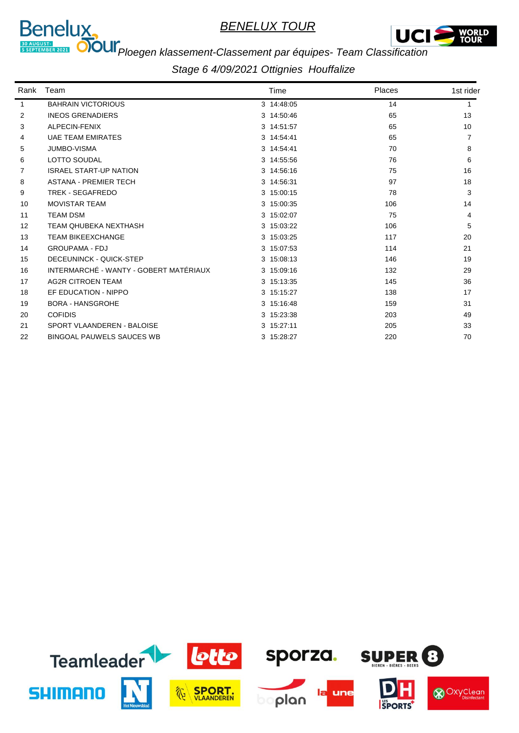



# **PROGRET-ROOM**<br>**PROGREM COOM POEGEN Klassement-Classement par équipes- Team Classification**

| Rank | Team                                   | Time       | Places | 1st rider |
|------|----------------------------------------|------------|--------|-----------|
| 1    | <b>BAHRAIN VICTORIOUS</b>              | 3 14:48:05 | 14     |           |
| 2    | <b>INEOS GRENADIERS</b>                | 3 14:50:46 | 65     | 13        |
| 3    | ALPECIN-FENIX                          | 3 14:51:57 | 65     | 10        |
| 4    | <b>UAE TEAM EMIRATES</b>               | 3 14:54:41 | 65     | 7         |
| 5    | <b>JUMBO-VISMA</b>                     | 3 14:54:41 | 70     | 8         |
| 6    | <b>LOTTO SOUDAL</b>                    | 3 14:55:56 | 76     | 6         |
| 7    | <b>ISRAEL START-UP NATION</b>          | 3 14:56:16 | 75     | 16        |
| 8    | <b>ASTANA - PREMIER TECH</b>           | 3 14:56:31 | 97     | 18        |
| 9    | <b>TREK - SEGAFREDO</b>                | 3 15:00:15 | 78     | 3         |
| 10   | <b>MOVISTAR TEAM</b>                   | 3 15:00:35 | 106    | 14        |
| 11   | <b>TEAM DSM</b>                        | 3 15:02:07 | 75     | 4         |
| 12   | TEAM QHUBEKA NEXTHASH                  | 3 15:03:22 | 106    | 5         |
| 13   | <b>TEAM BIKEEXCHANGE</b>               | 3 15:03:25 | 117    | 20        |
| 14   | <b>GROUPAMA - FDJ</b>                  | 3 15:07:53 | 114    | 21        |
| 15   | DECEUNINCK - QUICK-STEP                | 3 15:08:13 | 146    | 19        |
| 16   | INTERMARCHÉ - WANTY - GOBERT MATÉRIAUX | 3 15:09:16 | 132    | 29        |
| 17   | <b>AG2R CITROEN TEAM</b>               | 3 15:13:35 | 145    | 36        |
| 18   | EF EDUCATION - NIPPO                   | 3 15:15:27 | 138    | 17        |
| 19   | <b>BORA - HANSGROHE</b>                | 3 15:16:48 | 159    | 31        |
| 20   | <b>COFIDIS</b>                         | 3 15:23:38 | 203    | 49        |
| 21   | SPORT VLAANDEREN - BALOISE             | 3 15:27:11 | 205    | 33        |
| 22   | <b>BINGOAL PAUWELS SAUCES WB</b>       | 3 15:28:27 | 220    | 70        |

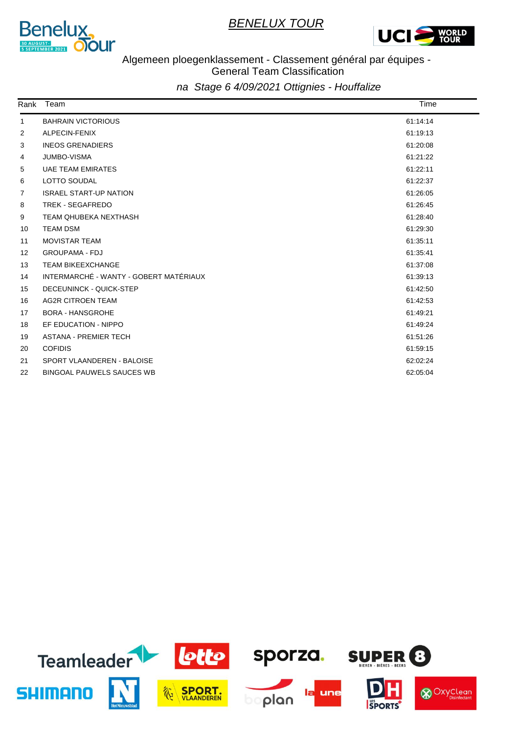



#### Algemeen ploegenklassement - Classement général par équipes - General Team Classification

| Rank | Team                                   | Time     |
|------|----------------------------------------|----------|
| 1    | <b>BAHRAIN VICTORIOUS</b>              | 61:14:14 |
| 2    | ALPECIN-FENIX                          | 61:19:13 |
| 3    | <b>INEOS GRENADIERS</b>                | 61:20:08 |
| 4    | <b>JUMBO-VISMA</b>                     | 61:21:22 |
| 5    | <b>UAE TEAM EMIRATES</b>               | 61:22:11 |
| 6    | LOTTO SOUDAL                           | 61:22:37 |
| 7    | <b>ISRAEL START-UP NATION</b>          | 61:26:05 |
| 8    | <b>TREK - SEGAFREDO</b>                | 61:26:45 |
| 9    | TEAM QHUBEKA NEXTHASH                  | 61:28:40 |
| 10   | <b>TEAM DSM</b>                        | 61:29:30 |
| 11   | <b>MOVISTAR TEAM</b>                   | 61:35:11 |
| 12   | <b>GROUPAMA - FDJ</b>                  | 61:35:41 |
| 13   | <b>TEAM BIKEEXCHANGE</b>               | 61:37:08 |
| 14   | INTERMARCHÉ - WANTY - GOBERT MATÉRIAUX | 61:39:13 |
| 15   | DECEUNINCK - QUICK-STEP                | 61:42:50 |
| 16   | <b>AG2R CITROEN TEAM</b>               | 61:42:53 |
| 17   | <b>BORA - HANSGROHE</b>                | 61:49:21 |
| 18   | EF EDUCATION - NIPPO                   | 61:49:24 |
| 19   | <b>ASTANA - PREMIER TECH</b>           | 61:51:26 |
| 20   | <b>COFIDIS</b>                         | 61:59:15 |
| 21   | SPORT VLAANDEREN - BALOISE             | 62:02:24 |
| 22   | <b>BINGOAL PAUWELS SAUCES WB</b>       | 62:05:04 |

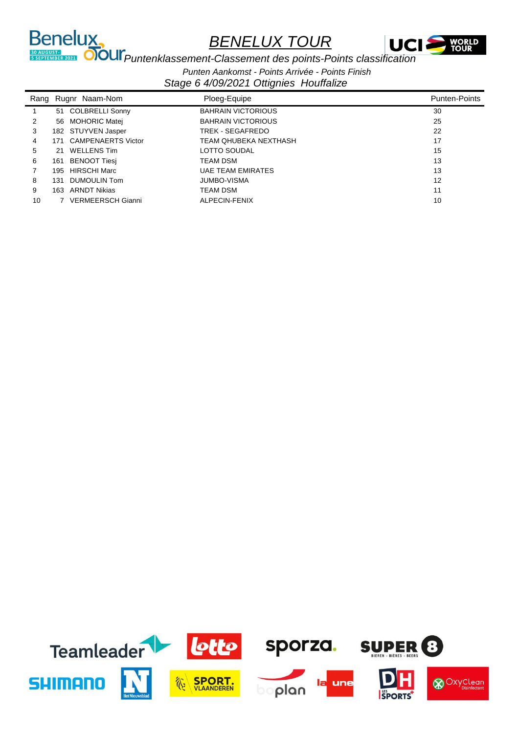

**PUNTER PUNTER PUNTER AVEC SERVIS CONSTRUCTED AT A PUNTER CONSTRUCT DE CONSTRUCT DE CONSTRUCT DE CONSTRUCT DE CONSTRUCT DE CONSTRUCT DE CONSTRUCT DE CONSTRUCT DE CONSTRUCT DE CONSTRUCT DE CONSTRUCT DE CONSTRUCT DE CONSTRUC** 

Benelux,

*Punten Aankomst - Points Arrivée - Points Finish*

|    |      | Rang Rugnr Naam-Nom       | Ploeg-Equipe              | <b>Punten-Points</b> |
|----|------|---------------------------|---------------------------|----------------------|
|    | 51   | COLBRELLI Sonny           | <b>BAHRAIN VICTORIOUS</b> | 30                   |
| 2  |      | 56 MOHORIC Matej          | <b>BAHRAIN VICTORIOUS</b> | 25                   |
| 3  |      | 182 STUYVEN Jasper        | TREK - SEGAFREDO          | 22                   |
| 4  | 171  | <b>CAMPENAERTS Victor</b> | TEAM OHUBEKA NEXTHASH     | 17                   |
| 5  |      | 21 WELLENS Tim            | LOTTO SOUDAL              | 15                   |
| 6  | 161. | BENOOT Tiesi              | TEAM DSM                  | 13                   |
|    |      | 195 HIRSCHI Marc          | <b>UAE TEAM EMIRATES</b>  | 13                   |
| 8  | 131  | DUMOULIN Tom              | <b>JUMBO-VISMA</b>        | 12                   |
| 9  | 163. | <b>ARNDT Nikias</b>       | <b>TEAM DSM</b>           | 11                   |
| 10 |      | <b>VERMEERSCH Gianni</b>  | ALPECIN-FENIX             | 10                   |
|    |      |                           |                           |                      |

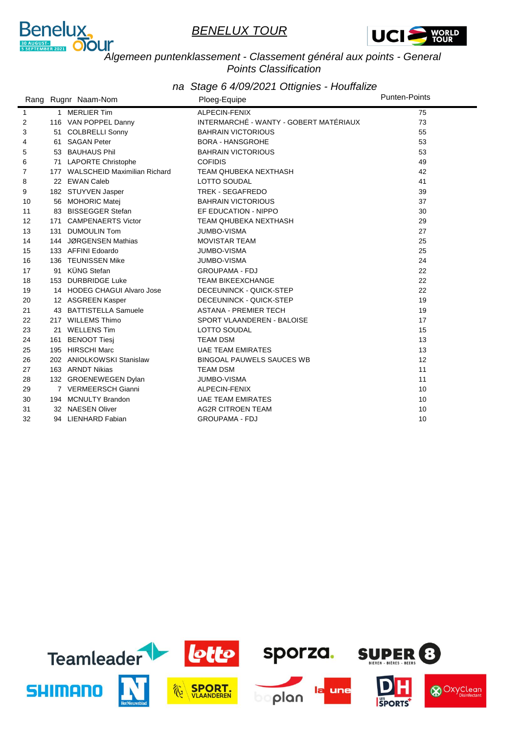



# *Algemeen puntenklassement - Classement général aux points - General Points Classification*

|              |     | Rang Rugnr Naam-Nom              | Ploeg-Equipe                           | <b>Punten-Points</b> |
|--------------|-----|----------------------------------|----------------------------------------|----------------------|
| $\mathbf{1}$ |     | 1 MERLIER Tim                    | ALPECIN-FENIX                          | 75                   |
| 2            |     | 116 VAN POPPEL Danny             | INTERMARCHÉ - WANTY - GOBERT MATÉRIAUX | 73                   |
| 3            |     | 51 COLBRELLI Sonny               | <b>BAHRAIN VICTORIOUS</b>              | 55                   |
| 4            |     | 61 SAGAN Peter                   | <b>BORA - HANSGROHE</b>                | 53                   |
| 5            |     | 53 BAUHAUS Phil                  | <b>BAHRAIN VICTORIOUS</b>              | 53                   |
| 6            | 71  | <b>LAPORTE Christophe</b>        | <b>COFIDIS</b>                         | 49                   |
| 7            |     | 177 WALSCHEID Maximilian Richard | TEAM QHUBEKA NEXTHASH                  | 42                   |
| 8            |     | 22 EWAN Caleb                    | LOTTO SOUDAL                           | 41                   |
| 9            |     | 182 STUYVEN Jasper               | <b>TREK - SEGAFREDO</b>                | 39                   |
| 10           |     | 56 MOHORIC Matej                 | <b>BAHRAIN VICTORIOUS</b>              | 37                   |
| 11           |     | 83 BISSEGGER Stefan              | EF EDUCATION - NIPPO                   | 30                   |
| 12           |     | 171 CAMPENAERTS Victor           | TEAM QHUBEKA NEXTHASH                  | 29                   |
| 13           |     | 131 DUMOULIN Tom                 | <b>JUMBO-VISMA</b>                     | 27                   |
| 14           |     | 144 JØRGENSEN Mathias            | <b>MOVISTAR TEAM</b>                   | 25                   |
| 15           |     | 133 AFFINI Edoardo               | JUMBO-VISMA                            | 25                   |
| 16           |     | 136 TEUNISSEN Mike               | <b>JUMBO-VISMA</b>                     | 24                   |
| 17           | 91  | <b>KÜNG Stefan</b>               | <b>GROUPAMA - FDJ</b>                  | 22                   |
| 18           |     | 153 DURBRIDGE Luke               | <b>TEAM BIKEEXCHANGE</b>               | 22                   |
| 19           |     | 14 HODEG CHAGUI Alvaro Jose      | DECEUNINCK - QUICK-STEP                | 22                   |
| 20           |     | 12 ASGREEN Kasper                | DECEUNINCK - QUICK-STEP                | 19                   |
| 21           |     | 43 BATTISTELLA Samuele           | <b>ASTANA - PREMIER TECH</b>           | 19                   |
| 22           |     | 217 WILLEMS Thimo                | SPORT VLAANDEREN - BALOISE             | 17                   |
| 23           |     | 21 WELLENS Tim                   | LOTTO SOUDAL                           | 15                   |
| 24           | 161 | <b>BENOOT Tiesi</b>              | <b>TEAM DSM</b>                        | 13                   |
| 25           | 195 | <b>HIRSCHI Marc</b>              | <b>UAE TEAM EMIRATES</b>               | 13                   |
| 26           |     | 202 ANIOLKOWSKI Stanislaw        | <b>BINGOAL PAUWELS SAUCES WB</b>       | $12 \overline{ }$    |
| 27           |     | 163 ARNDT Nikias                 | <b>TEAM DSM</b>                        | 11                   |
| 28           |     | 132 GROENEWEGEN Dylan            | JUMBO-VISMA                            | 11                   |
| 29           |     | 7 VERMEERSCH Gianni              | ALPECIN-FENIX                          | 10                   |
| 30           |     | 194 MCNULTY Brandon              | <b>UAE TEAM EMIRATES</b>               | 10                   |
| 31           |     | 32 NAESEN Oliver                 | <b>AG2R CITROEN TEAM</b>               | 10                   |
| 32           |     | 94 LIENHARD Fabian               | <b>GROUPAMA - FDJ</b>                  | 10                   |

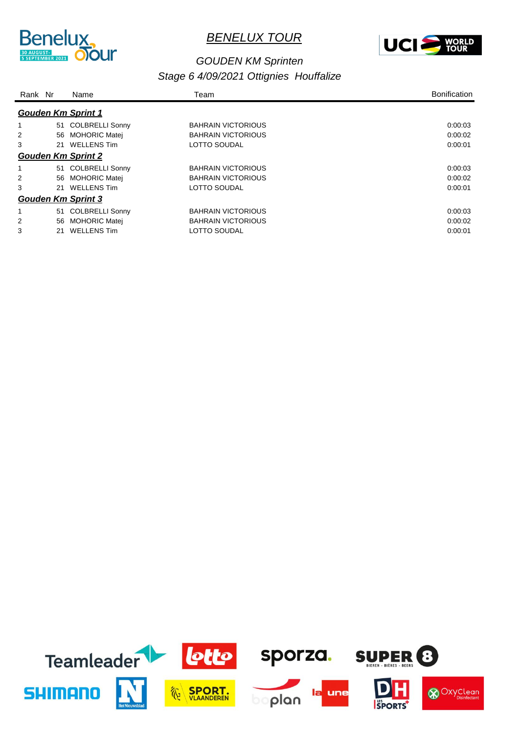



#### *Stage 6 4/09/2021 Ottignies Houffalize GOUDEN KM Sprinten*

| Rank Nr |    | Name                      | Team                      | <b>Bonification</b> |
|---------|----|---------------------------|---------------------------|---------------------|
|         |    | <b>Gouden Km Sprint 1</b> |                           |                     |
|         |    | 51 COLBRELLI Sonny        | <b>BAHRAIN VICTORIOUS</b> | 0.00.03             |
| 2       | 56 | <b>MOHORIC Matej</b>      | <b>BAHRAIN VICTORIOUS</b> | 0:00:02             |
| 3       | 21 | <b>WELLENS Tim</b>        | <b>LOTTO SOUDAL</b>       | 0:00:01             |
|         |    | <b>Gouden Km Sprint 2</b> |                           |                     |
|         |    | 51 COLBRELLI Sonny        | <b>BAHRAIN VICTORIOUS</b> | 0:00:03             |
| 2       |    | 56 MOHORIC Matei          | <b>BAHRAIN VICTORIOUS</b> | 0:00:02             |
| 3       | 21 | <b>WELLENS Tim</b>        | <b>LOTTO SOUDAL</b>       | 0:00:01             |
|         |    | <b>Gouden Km Sprint 3</b> |                           |                     |
|         |    | 51 COLBRELLI Sonny        | <b>BAHRAIN VICTORIOUS</b> | 0:00:03             |
| 2       | 56 | <b>MOHORIC Matei</b>      | <b>BAHRAIN VICTORIOUS</b> | 0:00:02             |
| 3       | 21 | <b>WELLENS Tim</b>        | <b>LOTTO SOUDAL</b>       | 0:00:01             |

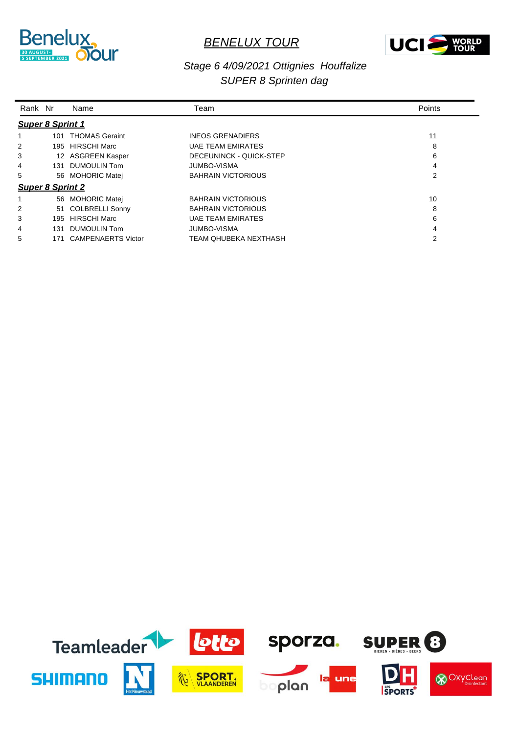



#### *Stage 6 4/09/2021 Ottignies Houffalize SUPER 8 Sprinten dag*

| Rank Nr                 |                         | Name                      | Team                      | Points |  |  |  |  |
|-------------------------|-------------------------|---------------------------|---------------------------|--------|--|--|--|--|
| <b>Super 8 Sprint 1</b> |                         |                           |                           |        |  |  |  |  |
|                         |                         | 101 THOMAS Geraint        | <b>INEOS GRENADIERS</b>   | 11     |  |  |  |  |
| 2                       |                         | 195 HIRSCHI Marc          | <b>UAE TEAM EMIRATES</b>  | 8      |  |  |  |  |
| 3                       |                         | 12 ASGREEN Kasper         | DECEUNINCK - QUICK-STEP   | 6      |  |  |  |  |
| 4                       |                         | 131 DUMOULIN Tom          | <b>JUMBO-VISMA</b>        | 4      |  |  |  |  |
| 5                       |                         | 56 MOHORIC Matei          | <b>BAHRAIN VICTORIOUS</b> | 2      |  |  |  |  |
|                         | <b>Super 8 Sprint 2</b> |                           |                           |        |  |  |  |  |
|                         |                         | 56 MOHORIC Matei          | <b>BAHRAIN VICTORIOUS</b> | 10     |  |  |  |  |
| 2                       |                         | 51 COLBRELLI Sonny        | <b>BAHRAIN VICTORIOUS</b> | 8      |  |  |  |  |
| 3                       | 195                     | <b>HIRSCHI Marc</b>       | <b>UAE TEAM EMIRATES</b>  | 6      |  |  |  |  |
| 4                       | 131                     | <b>DUMOULIN Tom</b>       | <b>JUMBO-VISMA</b>        | 4      |  |  |  |  |
| 5                       | 171                     | <b>CAMPENAERTS Victor</b> | TEAM QHUBEKA NEXTHASH     | 2      |  |  |  |  |

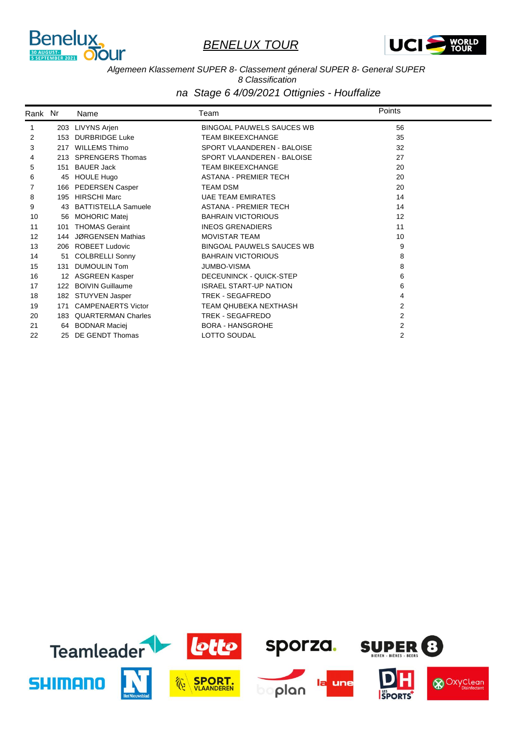



#### *Algemeen Klassement SUPER 8- Classement géneral SUPER 8- General SUPER 8 Classification*

| Rank Nr |     | Name                       | Team                             | Points         |  |
|---------|-----|----------------------------|----------------------------------|----------------|--|
| 1       |     | 203 LIVYNS Arjen           | <b>BINGOAL PAUWELS SAUCES WB</b> | 56             |  |
| 2       |     | 153 DURBRIDGE Luke         | <b>TEAM BIKEEXCHANGE</b>         | 35             |  |
| 3       | 217 | <b>WILLEMS Thimo</b>       | SPORT VLAANDEREN - BALOISE       | 32             |  |
| 4       |     | 213 SPRENGERS Thomas       | SPORT VLAANDEREN - BALOISE       | 27             |  |
| 5       | 151 | <b>BAUER Jack</b>          | <b>TEAM BIKEEXCHANGE</b>         | 20             |  |
| 6       | 45  | <b>HOULE Hugo</b>          | <b>ASTANA - PREMIER TECH</b>     | 20             |  |
|         | 166 | <b>PEDERSEN Casper</b>     | <b>TEAM DSM</b>                  | 20             |  |
| 8       |     | 195 HIRSCHI Marc           | <b>UAE TEAM EMIRATES</b>         | 14             |  |
| 9       | 43  | <b>BATTISTELLA Samuele</b> | <b>ASTANA - PREMIER TECH</b>     | 14             |  |
| 10      | 56  | <b>MOHORIC Matei</b>       | <b>BAHRAIN VICTORIOUS</b>        | 12             |  |
| 11      | 101 | <b>THOMAS Geraint</b>      | <b>INEOS GRENADIERS</b>          | 11             |  |
| 12      | 144 | <b>JØRGENSEN Mathias</b>   | <b>MOVISTAR TEAM</b>             | 10             |  |
| 13      |     | 206 ROBEET Ludovic         | <b>BINGOAL PAUWELS SAUCES WB</b> | 9              |  |
| 14      | 51  | <b>COLBRELLI Sonny</b>     | <b>BAHRAIN VICTORIOUS</b>        | 8              |  |
| 15      | 131 | <b>DUMOULIN Tom</b>        | <b>JUMBO-VISMA</b>               | 8              |  |
| 16      |     | 12 ASGREEN Kasper          | DECEUNINCK - QUICK-STEP          | 6              |  |
| 17      |     | 122 BOIVIN Guillaume       | <b>ISRAEL START-UP NATION</b>    | 6              |  |
| 18      |     | 182 STUYVEN Jasper         | TREK - SEGAFREDO                 | 4              |  |
| 19      | 171 | <b>CAMPENAERTS Victor</b>  | TEAM QHUBEKA NEXTHASH            | $\overline{2}$ |  |
| 20      |     | 183 QUARTERMAN Charles     | TREK - SEGAFREDO                 | $\overline{2}$ |  |
| 21      |     | 64 BODNAR Maciej           | <b>BORA - HANSGROHE</b>          | 2              |  |
| 22      | 25  | DE GENDT Thomas            | LOTTO SOUDAL                     | $\overline{2}$ |  |

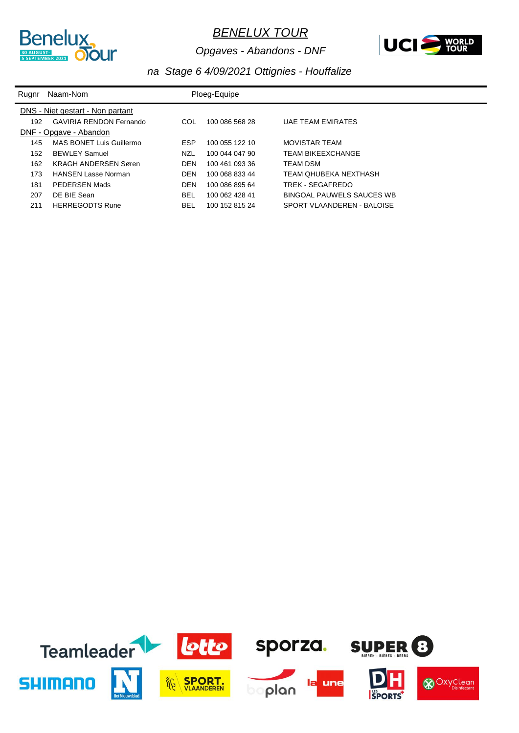

*Opgaves - Abandons - DNF*



| Rugnr                            | Naam-Nom                       |            | Ploeg-Equipe   |                            |  |
|----------------------------------|--------------------------------|------------|----------------|----------------------------|--|
| DNS - Niet gestart - Non partant |                                |            |                |                            |  |
| 192                              | <b>GAVIRIA RENDON Fernando</b> | COL        | 100 086 568 28 | <b>UAE TEAM EMIRATES</b>   |  |
|                                  | DNF - Opgave - Abandon         |            |                |                            |  |
| 145                              | MAS BONET Luis Guillermo       | <b>ESP</b> | 100 055 122 10 | <b>MOVISTAR TEAM</b>       |  |
| 152                              | <b>BEWLEY Samuel</b>           | NZL        | 100 044 047 90 | <b>TEAM BIKEEXCHANGE</b>   |  |
| 162                              | <b>KRAGH ANDERSEN Søren</b>    | <b>DEN</b> | 100 461 093 36 | TEAM DSM                   |  |
| 173                              | <b>HANSEN Lasse Norman</b>     | <b>DEN</b> | 100 068 833 44 | TEAM OHUBEKA NEXTHASH      |  |
| 181                              | PEDERSEN Mads                  | <b>DEN</b> | 100 086 895 64 | TREK - SEGAFREDO           |  |
| 207                              | DE BIE Sean                    | <b>BEL</b> | 100 062 428 41 | BINGOAL PAUWELS SAUCES WB  |  |
| 211                              | <b>HERREGODTS Rune</b>         | BEL        | 100 152 815 24 | SPORT VLAANDEREN - BALOISE |  |

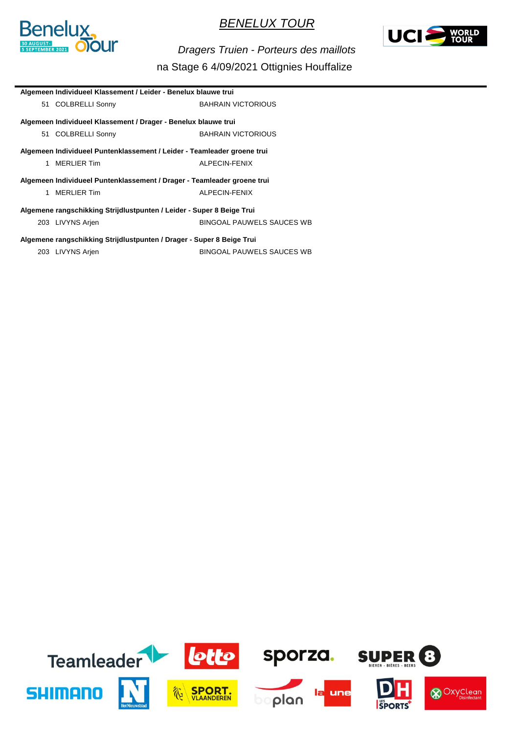



*Dragers Truien - Porteurs des maillots*

| Algemeen Individueel Klassement / Leider - Benelux blauwe trui          |                           |  |
|-------------------------------------------------------------------------|---------------------------|--|
| 51 COLBRELLI Sonny                                                      | <b>BAHRAIN VICTORIOUS</b> |  |
| Algemeen Individueel Klassement / Drager - Benelux blauwe trui          |                           |  |
| 51 COLBRELLI Sonny                                                      | <b>BAHRAIN VICTORIOUS</b> |  |
| Algemeen Individueel Puntenklassement / Leider - Teamleader groene trui |                           |  |
| MERLIER Tim<br>1                                                        | ALPECIN-FENIX             |  |
| Algemeen Individueel Puntenklassement / Drager - Teamleader groene trui |                           |  |
| 1 MERLIER Tim                                                           | ALPECIN-FENIX             |  |
| Algemene rangschikking Strijdlustpunten / Leider - Super 8 Beige Trui   |                           |  |
| 203 LIVYNS Arjen                                                        | BINGOAL PAUWELS SAUCES WB |  |
| Algemene rangschikking Strijdlustpunten / Drager - Super 8 Beige Trui   |                           |  |
| 203 LIVYNS Arjen                                                        | BINGOAL PAUWELS SAUCES WB |  |

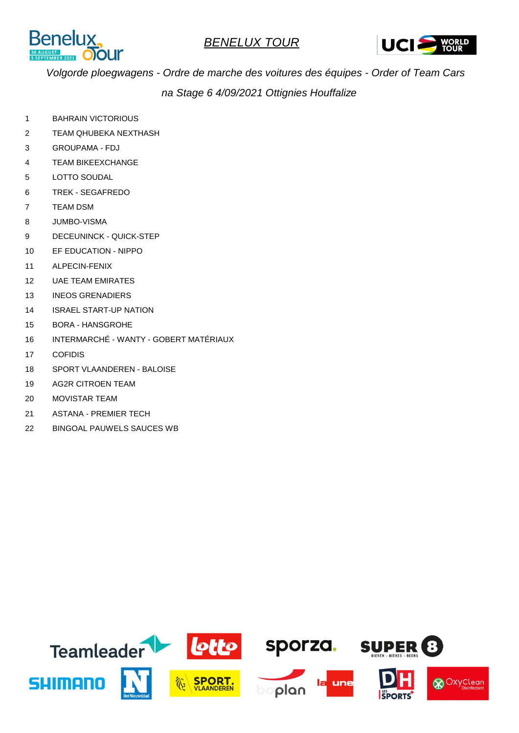



*Volgorde ploegwagens - Ordre de marche des voitures des équipes - Order of Team Cars na Stage 6 4/09/2021 Ottignies Houffalize*

- 1 BAHRAIN VICTORIOUS
- 2 TEAM QHUBEKA NEXTHASH
- 3 GROUPAMA FDJ
- 4 TEAM BIKEEXCHANGE
- 5 LOTTO SOUDAL
- 6 TREK SEGAFREDO
- 7 TEAM DSM Rang 1ste renner: The renewall behavior of the renewall behavior of the renewall behavior of the render:
- 8 JUMBO-VISMA
- 9 DECEUNINCK QUICK-STEP
- 10 EF EDUCATION NIPPO
- 11 ALPECIN-FENIX
- 12 UAE TEAM EMIRATES
- 13 INEOS GRENADIERS
- 14 ISRAEL START-UP NATION
- 15 BORA HANSGROHE
- 16 INTERMARCHÉ WANTY GOBERT MATÉRIAUX
- 17 COFIDIS Range 19 November 1998 and 1999 and 1999 and 1999 and 1999 and 1999 and 1999 and 1999 and 1999 and
- 18 SPORT VLAANDEREN BALOISE
- 19 AG2R CITROEN TEAM
- 20 MOVISTAR TEAM
- 21 ASTANA PREMIER TECH
- 22 BINGOAL PAUWELS SAUCES WB

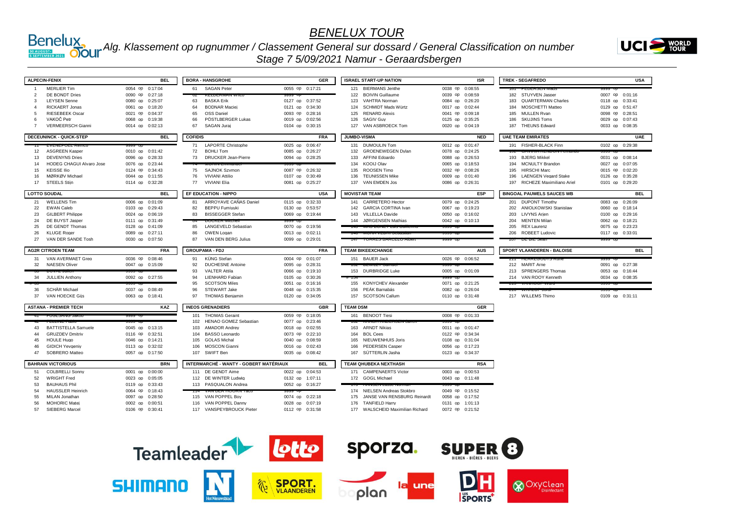

#### *Alg. Klassement op rugnummer / Classement General sur dossard / General Classification on number*

*Stage 7 5/09/2021 Namur - Geraardsbergen*



|                | <b>ALPECIN-FENIX</b>                           | <b>BEL</b>                         | <b>BORA - HANSGROHE</b>                                    | <b>GER</b>                         | <b>ISRAEL START-UP NATION</b>                  | <b>ISR</b>                         | <b>TREK - SEGAFREDO</b>            | <b>USA</b>                         |
|----------------|------------------------------------------------|------------------------------------|------------------------------------------------------------|------------------------------------|------------------------------------------------|------------------------------------|------------------------------------|------------------------------------|
|                | <b>MERLIER Tim</b>                             | 0054 op 0:17:04                    | 61 SAGAN Peter                                             | 0055 op 0:17:21                    | 121 BIERMANS Jenthe                            | 0038 op 0:08:55                    |                                    |                                    |
| $\overline{2}$ | DE BONDT Dries                                 | 0090 op 0:27:18                    | <b>INFORMATION WELL</b>                                    |                                    | 122 BOIVIN Guillaume                           | 0039 op 0:08:59                    | 182 STUYVEN Jasper                 | 0007 op 0:01:16                    |
| 3              | <b>LEYSEN Senne</b>                            | 0080 op 0:25:07                    | <b>BASKA Erik</b><br>63                                    | 0127 op 0:37:52                    | 123<br>VAHTRA Norman                           | 0084 op 0:26:20                    | 183 QUARTERMAN Charles             | 0118 op 0:33:41                    |
| $\mathbf{A}$   | <b>RICKAERT Jonas</b>                          | 0061 op 0:18:20                    | <b>BODNAR Maciei</b><br>64                                 | 0121 op 0:34:30                    | SCHMIDT Mads Würtz<br>124                      | 0017 op 0:02:44                    | <b>MOSCHETTI Matteo</b><br>184     | 0129 op 0:51:47                    |
| 5              | <b>RIESEBEEK Oscar</b>                         | 0021 op 0:04:37                    | 65<br><b>OSS Daniel</b>                                    | 0093 op 0:28:16                    | 125<br><b>RENARD Alexis</b>                    | 0041 op 0:09:18                    | 185 MULLEN Rvan                    | 0098 op 0:28:51                    |
| $\epsilon$     | VAKOČ Petr                                     | 0068 op 0:19:38                    | 66<br>PÖSTLBERGER Lukas                                    | 0019 op 0:02:56                    | 126<br><b>SAGIV Guv</b>                        | 0125 op 0:35:25                    | 186 SKUJINS Toms                   | 0029 op 0:07:43                    |
| $\overline{7}$ | <b>VERMEERSCH Gianni</b>                       | 0014 op 0:02:13                    | SAGAN Jurai<br>67                                          | 0104 op 0:30:15                    | 127 VAN ASBROECK Tom                           | 0020 op 0:04:19                    | 187 THEUNS Edward                  | 0033 op 0:08:35                    |
|                |                                                |                                    |                                                            |                                    |                                                |                                    |                                    |                                    |
|                | <b>DECEUNINCK - QUICK-STEP</b>                 | <b>BEL</b>                         | <b>COFIDIS</b>                                             | <b>FRA</b>                         | JUMBO-VISMA                                    | <b>NED</b>                         | <b>UAE TEAM EMIRATES</b>           | <b>UAE</b>                         |
|                |                                                |                                    | <b>LAPORTE Christophe</b><br>71                            | 0025 op 0:06:47                    | 131 DUMOULIN Tom                               | 0012 op 0:01:47                    | 191 FISHER-BLACK Finn              | 0102 op 0:29:38                    |
| 12<br>13       | <b>ASGREEN Kasper</b><br><b>DEVENYNS Dries</b> | 0010 op 0:01:42<br>0096 op 0:28:33 | <b>BOHLI Tom</b><br>72<br><b>DRUCKER Jean-Pierre</b><br>73 | 0085 op 0:26:27<br>0094 op 0:28:25 | 132 GROENEWEGEN Dylan<br>133<br>AFFINI Edoardo | 0078 op 0:24:25                    | 193 BJERG Mikkel                   |                                    |
| 14             | <b>HODEG CHAGUI Alvaro Jose</b>                |                                    |                                                            |                                    | 134 KOOIJ Olav                                 | 0088 op 0:26:53<br>0065 op 0:18:53 | 194 MCNULTY Brandon                | 0031 op 0:08:14<br>0027 op 0:07:05 |
| 15             | <b>KEISSE Ilio</b>                             | 0076 op 0:23:44                    | 75 SAJNOK Szvmon                                           | 0087 op 0:26:32                    | <b>ROOSEN Timo</b><br>135                      |                                    | 195 HIRSCHI Marc                   |                                    |
| 16             | MØRKØV Michael                                 | 0124 op 0:34:43<br>0044 op 0:11:55 | <b>VIVIANI Attilio</b><br>76                               | 0107 op 0:30:49                    | <b>TEUNISSEN Mike</b><br>136                   | 0032 op 0:08:26<br>0009 op 0:01:40 | <b>LAENGEN Vegard Stake</b><br>196 | 0015 op 0:02:20<br>0126 op 0:35:28 |
| 17             | <b>STEELS Stiin</b>                            | 0114 op 0:32:28                    | 77<br>VIVIANI Elia                                         | 0081 op 0:25:27                    | 137 VAN EMDEN Jos                              | 0086 op 0:26:31                    | 197 RICHEZE Maximiliano Ariel      | 0101 op 0:29:20                    |
|                |                                                |                                    |                                                            |                                    |                                                |                                    |                                    |                                    |
|                | <b>LOTTO SOUDAL</b>                            | <b>BEL</b>                         | EF EDUCATION - NIPPO                                       | <b>USA</b>                         | <b>MOVISTAR TEAM</b>                           | <b>ESP</b>                         | <b>BINGOAL PAUWELS SAUCES WB</b>   | <b>BEL</b>                         |
| 21             | <b>WELLENS Tim</b>                             | 0006 op 0:01:09                    | ARROYAVE CAÑAS Daniel<br>81                                | 0115 op 0:32:33                    | 141 CARRETERO Hector                           | 0079 op 0:24:25                    | 201 DUPONT Timothy                 | 0083 op 0:26:09                    |
| 22             | <b>EWAN Caleb</b>                              | 0103 op 0:29:43                    | <b>BEPPU Fumivuki</b><br>82                                | 0130 op 0:53:57                    | 142 GARCIA CORTINA Ivan                        | 0067 op 0:19:23                    | 202 ANIOLKOWSKI Stanislaw          | 0060 op 0:18:14                    |
| 23             | <b>GILBERT Philippe</b>                        | 0024 op 0:06:19                    | <b>BISSEGGER Stefan</b><br>83                              | 0069 op 0:19:44                    | 143 VILLELLA Davide                            | 0050 op 0:16:02                    | 203 LIVYNS Arien                   | 0100 op 0:29:16                    |
| 24             | DE BUYST Jasper                                | 0111 op 0:31:49                    |                                                            |                                    | 144 JØRGENSEN Mathias                          | 0042 op 0:10:13                    | <b>MENTEN Milan</b><br>204         | 0062 op 0:18:21                    |
| 25             | DE GENDT Thomas                                | 0128 op 0:41:09                    | <b>LANGEVELD Sebastian</b><br>85                           | 0070 op 0:19:56                    | <b>THU INICIO DONE LEUIS OU</b>                | າວວວ ບ                             | 205 REX Laurenz                    | 0075 op 0:23:23                    |
| 26             | <b>KLUGE Roger</b>                             | 0089 op 0:27:11                    | 86<br>OWEN Logan                                           | 0013 op 0:02:11                    | <b>140 INIOIVA VEDIVI OCDASH</b>               | ລວວວ ບບ                            | 206 ROBEET Ludovic                 | 0117 op 0:33:01                    |
| 27             | VAN DER SANDE Tosh                             | 0030 op 0:07:50                    | VAN DEN BERG Julius<br>87                                  | 0099 op 0:29:01                    | <b>TURRED DARULLU /</b>                        | 1999 L                             | ZUI DL DIL OCA                     | iaaa Op                            |
|                |                                                |                                    |                                                            |                                    |                                                |                                    |                                    |                                    |
|                | <b>AG2R CITROEN TEAM</b>                       | <b>FRA</b>                         | <b>GROUPAMA - FDJ</b>                                      | <b>FRA</b>                         | <b>TEAM BIKEEXCHANGE</b>                       | <b>AUS</b>                         | <b>SPORT VLAANDEREN - BALOISE</b>  | <b>BEL</b>                         |
| 31             | VAN AVERMAET Grea                              | 0036 op 0:08:46                    | KÜNG Stefan<br>91                                          | 0004 op 0:01:07                    | 151 BAUER Jack                                 | 0026 op 0:06:52                    |                                    |                                    |
| 32             | <b>NAESEN Oliver</b>                           | 0047 op 0:15:09                    | <b>DUCHESNE Antoine</b><br>92                              | 0095 op 0:28:31                    | <b>IVA DEVILL I VAL</b>                        |                                    | 212 MARIT Arne                     | 0091 op 0:27:38                    |
|                | DO VAL JUICE                                   |                                    | <b>VALTER Attila</b><br>93                                 | 0066 op 0:19:10                    | 153 DURBRIDGE Luke                             | 0005 op 0:01:09                    | 213 SPRENGERS Thomas               | 0053 op 0:16:44                    |
|                | 34 JULLIEN Anthony                             | 0092 op 0:27:55                    | <b>LIENHARD Fabian</b><br>94                               | 0105 op 0:30:26                    |                                                |                                    | 214 VAN ROOY Kenneth               | 0034 op 0:08:35                    |
|                |                                                |                                    | 95<br><b>SCOTSON Miles</b>                                 | 0051 op 0:16:16                    | 155 KONYCHEV Alexander                         | 0071 op 0:21:25                    | ∠io v∧ivin∪o vvalu                 | 9999 UK                            |
| 36             | SCHÄR Michael                                  | 0037 op 0:08:49                    | <b>STEWART Jake</b><br>96                                  | 0048 op 0:15:35                    | 156 PEÁK Barnabás                              | 0082 op 0:26:04                    |                                    |                                    |
| 37             | VAN HOECKE Giis                                | 0063 op 0:18:41                    | 97<br><b>THOMAS Benjamin</b>                               | 0120 op 0:34:05                    | 157 SCOTSON Callum                             | 0110 op 0:31:48                    | 217 WILLEMS Thimo                  | 0109 op 0:31:11                    |
|                | <b>ASTANA - PREMIER TECH</b>                   | KAZ                                | <b>INEOS GRENADIERS</b>                                    | <b>GBR</b>                         | <b>TEAM DSM</b>                                | <b>GER</b>                         |                                    |                                    |
|                | <b>CONTRACTOR</b>                              |                                    | 101 THOMAS Geraint                                         | 0059 op 0:18:05                    | 161 BENOOT Tiesi                               | 0008 op 0:01:33                    |                                    |                                    |
|                |                                                |                                    | 102 HENAO GOMEZ Sebastian                                  | 0077 op 0:23:46                    | <b>102 INVADITARIOLIVOLIV ODI</b>              |                                    |                                    |                                    |
| 43             | <b>BATTISTELLA Samuele</b>                     | 0045 op 0:13:15                    | <b>AMADOR Andrey</b><br>103                                | 0018 op 0:02:55                    | 163 ARNDT Nikias                               | 0011 op 0:01:47                    |                                    |                                    |
| 44             | <b>GRUZDEV Dmitriv</b>                         | 0116 op 0:32:51                    | 104 BASSO Leonardo                                         | 0073 op 0:22:10                    | 164 BOL Cees                                   | 0122 op 0:34:34                    |                                    |                                    |
| 45             | <b>HOULE Hugo</b>                              | 0046 op 0:14:21                    | <b>GOLAS Michal</b><br>105                                 | 0040 op 0:08:59                    | NIEUWENHUIS Joris<br>165                       | 0108 op 0:31:04                    |                                    |                                    |
| 46             | <b>GIDICH Yevgeniv</b>                         | 0113 op 0:32:02                    | 106 MOSCON Gianni                                          | 0016 op 0:02:43                    | <b>PEDERSEN Casper</b><br>166                  | 0056 op 0:17:23                    |                                    |                                    |
| 47             | SOBRERO Matteo                                 | 0057 op 0:17:50                    | 107 SWIFT Ben                                              | 0035 op 0:08:42                    | 167 SÜTTERLIN Jasha                            | 0123 op 0:34:37                    |                                    |                                    |
|                | <b>BAHRAIN VICTORIOUS</b>                      | <b>BRN</b>                         | INTERMARCHÉ - WANTY - GOBERT MATÉRIAUX                     | <b>BEL</b>                         | TEAM QHUBEKA NEXTHASH                          | <b>RSA</b>                         |                                    |                                    |
| 51             | <b>COLBRELLI Sonny</b>                         | 0001 op 0:00:00                    | 111 DE GENDT Aime                                          | 0022 op 0:04:53                    | 171 CAMPENAERTS Victor                         | 0003 op 0:00:53                    |                                    |                                    |
| 52             | <b>WRIGHT Fred</b>                             | 0023 op 0:05:05                    | 112 DE WINTER Ludwig                                       | 0132 op 1:07:11                    | 172 GOGL Michael                               | 0043 op 0:11:48                    |                                    |                                    |
| 53             | <b>BAUHAUS Phil</b>                            | 0119 op 0:33:43                    | 113 PASQUALON Andrea                                       | 0052 op 0:16:27                    | <b>I INVOLTY LASSE IVOI</b>                    |                                    |                                    |                                    |
| 54             | <b>HAUSSLER Heinrich</b>                       | 0064 op 0:18:43                    | <b>VARIALISTICIONY</b>                                     |                                    | 174 NIELSEN Andreas Stokbro                    | 0049 op 0:15:52                    |                                    |                                    |
| 55             | MILAN Jonathan                                 | 0097 op 0:28:50                    | 115 VAN POPPEL Bov                                         | 0074 op 0:22:18                    | JANSE VAN RENSBURG Reinardt<br>175             | 0058 op 0:17:52                    |                                    |                                    |
| 56             | <b>MOHORIC Matei</b>                           | 0002 op 0:00:51                    | 116 VAN POPPEL Danny                                       | 0028 op 0:07:19                    | 176 TANFIELD Harry                             | 0131 op 1:01:13                    |                                    |                                    |

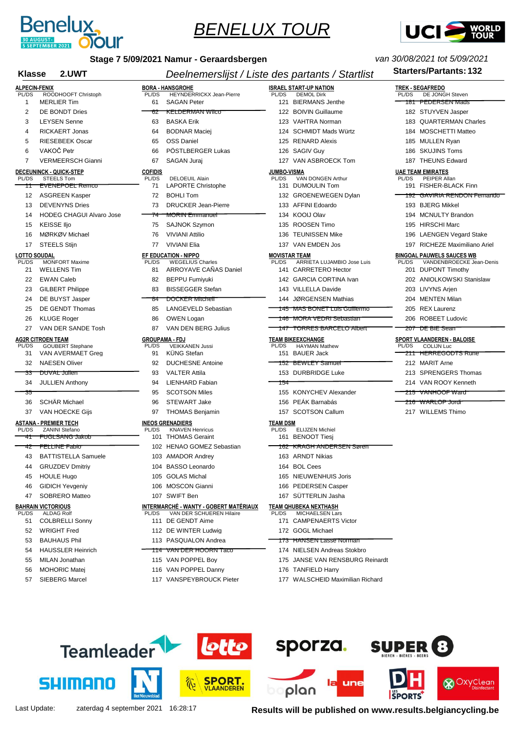



| Stage 7 5/09/2021 Namur - Geraardsbergen<br>2.UWT<br>Klasse |                                                          |                | Deelnemerslijst / Liste des partants / Startlist                          | <b>Starters/Partants: 132</b>                                      |                                                                       |
|-------------------------------------------------------------|----------------------------------------------------------|----------------|---------------------------------------------------------------------------|--------------------------------------------------------------------|-----------------------------------------------------------------------|
|                                                             |                                                          |                |                                                                           |                                                                    |                                                                       |
| <b>ALPECIN-FENIX</b><br>PL/DS                               | ROODHOOFT Christoph                                      | PL/DS          | <b>BORA - HANSGROHE</b><br><b>HEYNDERRICKX Jean-Pierre</b>                | <b>ISRAEL START-UP NATION</b><br><b>DEMOL Dirk</b><br>PL/DS        | <b>TREK - SEGAFREDO</b><br>PL/DS<br>DE JONGH Steven                   |
| 1                                                           | <b>MERLIER Tim</b>                                       | 61             | <b>SAGAN Peter</b>                                                        | 121 BIERMANS Jenthe                                                | <del>181 - PEDERSEN Mads</del>                                        |
| 2                                                           | DE BONDT Dries                                           | σZ             | <b>KELDERMAN WIICO</b>                                                    | 122 BOIVIN Guillaume                                               | 182 STUYVEN Jasper                                                    |
| 3                                                           | <b>LEYSEN Senne</b>                                      | 63             | <b>BASKA Erik</b>                                                         | 123 VAHTRA Norman                                                  | 183 QUARTERMAN Charles                                                |
| 4                                                           | <b>RICKAERT Jonas</b>                                    | 64             | <b>BODNAR Maciei</b>                                                      | 124 SCHMIDT Mads Würtz                                             | 184 MOSCHETTI Matteo                                                  |
| 5                                                           | <b>RIESEBEEK Oscar</b>                                   | 65             | <b>OSS Daniel</b>                                                         | 125 RENARD Alexis                                                  | 185 MULLEN Ryan                                                       |
| 6                                                           | VAKOČ Petr                                               | 66             | PÖSTLBERGER Lukas                                                         | 126 SAGIV Guy                                                      | <b>SKUJINS Toms</b><br>186                                            |
| 7                                                           | <b>VERMEERSCH Gianni</b>                                 | 67             | SAGAN Juraj                                                               | VAN ASBROECK Tom<br>127                                            | 187 THEUNS Edward                                                     |
|                                                             | <b>DECEUNINCK - QUICK-STEP</b>                           | <b>COFIDIS</b> |                                                                           | <b>JUMBO-VISMA</b>                                                 | <b>UAE TEAM EMIRATES</b>                                              |
| PL/DS                                                       | <b>STEELS Tom</b>                                        | PL/DS          | <b>DELOEUIL Alain</b>                                                     | VAN DONGEN Arthur<br>PL/DS<br>131 DUMOULIN Tom                     | PL/DS<br>PEIPER Allan<br>191 FISHER-BLACK Finn                        |
| ⇈                                                           | <del>EVENEPOEL Remco</del>                               | 71<br>72       | <b>LAPORTE Christophe</b><br><b>BOHLI Tom</b>                             | 132 GROENEWEGEN Dylan                                              | 192 GAVIRIA RENDON Fernando                                           |
| 12                                                          | <b>ASGREEN Kasper</b>                                    |                |                                                                           |                                                                    |                                                                       |
| 13                                                          | <b>DEVENYNS Dries</b><br><b>HODEG CHAGUI Alvaro Jose</b> | 73             | <b>DRUCKER Jean-Pierre</b><br><b>MORIN Emmanuel</b>                       | 133 AFFINI Edoardo<br>134 KOOIJ Olav                               | 193 BJERG Mikkel<br>194 MCNULTY Brandon                               |
| 14                                                          |                                                          |                |                                                                           | 135 ROOSEN Timo                                                    |                                                                       |
| 15                                                          | <b>KEISSE IIjo</b>                                       | 75             | <b>SAJNOK Szymon</b>                                                      | <b>TEUNISSEN Mike</b>                                              | 195 HIRSCHI Marc                                                      |
| 16                                                          | MØRKØV Michael                                           | 76             | <b>VIVIANI Attilio</b>                                                    | 136                                                                | <b>LAENGEN Vegard Stake</b><br>196                                    |
| 17                                                          | <b>STEELS Stijn</b>                                      | 77             | <b>VIVIANI Elia</b>                                                       | 137 VAN EMDEN Jos                                                  | 197 RICHEZE Maximiliano Ariel                                         |
| <b>LOTTO SOUDAL</b><br>PL/DS                                | <b>MONFORT Maxime</b>                                    | PL/DS          | <b>EF EDUCATION - NIPPO</b><br><b>WEGELIUS Charles</b>                    | <b>MOVISTAR TEAM</b><br>ARRIETA LUJAMBIO Jose Luis<br><b>PL/DS</b> | <b>BINGOAL PAUWELS SAUCES WB</b><br>PL/DS<br>VANDENBROECKE Jean-Denis |
| 21                                                          | <b>WELLENS Tim</b>                                       | 81             | <b>ARROYAVE CANAS Daniel</b>                                              | 141 CARRETERO Hector                                               | <b>DUPONT Timothy</b><br>201                                          |
| 22                                                          | <b>EWAN Caleb</b>                                        | 82             | <b>BEPPU Fumiyuki</b>                                                     | 142 GARCIA CORTINA Ivan                                            | 202 ANIOLKOWSKI Stanislaw                                             |
| 23                                                          | <b>GILBERT Philippe</b>                                  | 83             | <b>BISSEGGER Stefan</b>                                                   | 143 VILLELLA Davide                                                | 203 LIVYNS Arien                                                      |
| 24                                                          | DE BUYST Jasper                                          | 84             | DOCKER Mitchell                                                           | 144 JØRGENSEN Mathias                                              | 204 MENTEN Milan                                                      |
| 25                                                          | DE GENDT Thomas                                          | 85             | LANGEVELD Sebastian                                                       | 145 MAS BONET Luis Guillermo                                       | <b>REX Laurenz</b><br>205                                             |
| 26                                                          | <b>KLUGE Roger</b>                                       | 86             | OWEN Logan                                                                | <del>146 MORA VEDRI Sebastian</del>                                | 206 ROBEET Ludovic                                                    |
| 27                                                          | VAN DER SANDE Tosh                                       | 87             | VAN DEN BERG Julius                                                       | <u>147   TORRES BARCELO Albert</u>                                 | <del>207 DE BIE Sean</del>                                            |
|                                                             | <b>AG2R CITROEN TEAM</b>                                 |                | <b>GROUPAMA - FDJ</b>                                                     | <b>TEAM BIKEEXCHANGE</b>                                           | SPORT VLAANDEREN - BALOISE                                            |
| PL/DS<br>31                                                 | <b>GOUBERT Stephane</b><br>VAN AVERMAET Greg             | PL/DS<br>91    | <b>VEIKKANEN Jussi</b><br><b>KUNG Stefan</b>                              | <b>PL/DS</b><br><b>HAYMAN Mathew</b><br>151 BAUER Jack             | PL/DS<br><b>COLIJN Luc</b><br><del>211 HERREGODTS Rune</del>          |
| 32                                                          | <b>NAESEN Oliver</b>                                     | 92             | <b>DUCHESNE Antoine</b>                                                   | <del>152 BEWLEY Samuel</del>                                       | 212 MARIT Arne                                                        |
| 33                                                          | DUVAL Julien                                             | 93             | <b>VALTER Attila</b>                                                      | 153 DURBRIDGE Luke                                                 | 213 SPRENGERS Thomas                                                  |
| 34                                                          | <b>JULLIEN Anthony</b>                                   | 94             | LIENHARD Fabian                                                           | 154                                                                | 214 VAN ROOY Kenneth                                                  |
| 35                                                          |                                                          | 95             | <b>SCOTSON Miles</b>                                                      | 155 KONYCHEV Alexander                                             | <del>VANHOOF Ward</del>                                               |
| 36                                                          | <b>SCHÄR Michael</b>                                     | 96             | <b>STEWART Jake</b>                                                       | 156 PEÁK Barnabás                                                  | 215<br><del>216 WARLOP Jordi</del>                                    |
|                                                             |                                                          |                | <b>THOMAS Benjamin</b>                                                    | 157 SCOTSON Callum                                                 | 217 WILLEMS Thimo                                                     |
| 37                                                          | VAN HOECKE Gijs                                          | 97             |                                                                           |                                                                    |                                                                       |
| PL/DS                                                       | <b>ASTANA - PREMIER TECH</b><br><b>ZANINI Stefano</b>    | PL/DS          | <b>INEOS GRENADIERS</b><br><b>KNAVEN Henricus</b>                         | TEAM DSM<br>PL/DS<br><b>ELIJZEN Michiel</b>                        |                                                                       |
| 41                                                          | <del>FUGLSANG Jakob</del>                                |                | 101 THOMAS Geraint                                                        | 161 BENOOT Tiesj                                                   |                                                                       |
|                                                             | 42 FELLINE Fabio                                         |                | 102 HENAO GOMEZ Sebastian                                                 | <u>162   KRAGH ANDERSEN Søren</u>                                  |                                                                       |
| 43                                                          | <b>BATTISTELLA Samuele</b>                               |                | 103 AMADOR Andrey                                                         | 163 ARNDT Nikias                                                   |                                                                       |
| 44                                                          | <b>GRUZDEV Dmitriy</b>                                   |                | 104 BASSO Leonardo                                                        | 164 BOL Cees                                                       |                                                                       |
| 45                                                          | <b>HOULE Hugo</b>                                        |                | 105 GOLAS Michal                                                          | 165 NIEUWENHUIS Joris                                              |                                                                       |
| 46                                                          | <b>GIDICH Yevgeniy</b>                                   |                | 106 MOSCON Gianni                                                         | 166 PEDERSEN Casper                                                |                                                                       |
| 47                                                          | <b>SOBRERO Matteo</b>                                    |                | 107 SWIFT Ben                                                             | 167 SÜTTERLIN Jasha                                                |                                                                       |
| PL/DS                                                       | <b>BAHRAIN VICTORIOUS</b><br><b>ALDAG Rolf</b>           | PL/DS          | <u>INTERMARCHÉ - WANTY - GOBERT MATÉRIAUX</u><br>VAN DER SCHUEREN Hilaire | <b>TEAM QHUBEKA NEXTHASH</b><br>PL/DS<br><b>MICHAELSEN Lars</b>    |                                                                       |

#### PL/DS ALDAG Rolf **BAHRAIN VICTORIOUS**

- COLBRELLI Sonny
- WRIGHT Fred
- BAUHAUS Phil
- HAUSSLER Heinrich
- MILAN Jonathan
- MOHORIC Matej
- SIEBERG Marcel

**SHIMANO** 

**Teamleader** 

 DE GENDT Aime DE WINTER Ludwig PASQUALON Andrea VAN DER HOORN Taco VAN POPPEL Boy VAN POPPEL Danny VANSPEYBROUCK Pieter

**lotto** 

**SPORT** 

VLAANDEREN

Last Update: zaterdag 4 september 2021 16:28:17 **Results will be published on www.results.belgiancycling.be**

**SPORTS** 

**X** Oxyclean

sporza. SUPER 8

une

 CAMPENAERTS Victor GOGL Michael HANSEN Lasse Norman NIELSEN Andreas Stokbro JANSE VAN RENSBURG Reinardt

TANFIELD Harry

plan

WALSCHEID Maximilian Richard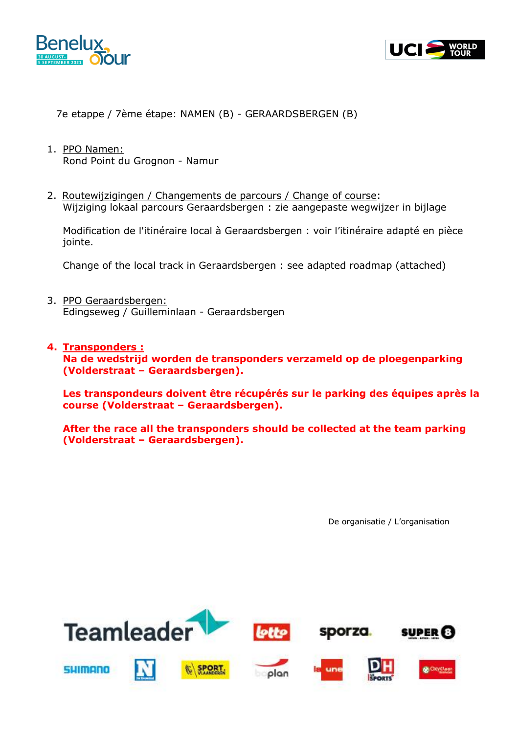



#### 7e etappe / 7ème étape: NAMEN (B) - GERAARDSBERGEN (B)

- 1. PPO Namen: Rond Point du Grognon - Namur
- 2. Routewijzigingen / Changements de parcours / Change of course: Wijziging lokaal parcours Geraardsbergen : zie aangepaste wegwijzer in bijlage

Modification de l'itinéraire local à Geraardsbergen : voir l'itinéraire adapté en pièce jointe.

Change of the local track in Geraardsbergen : see adapted roadmap (attached)

- 3. PPO Geraardsbergen: Edingseweg / Guilleminlaan - Geraardsbergen
- **4. Transponders : Na de wedstrijd worden de transponders verzameld op de ploegenparking (Volderstraat – Geraardsbergen).**

**Les transpondeurs doivent être récupérés sur le parking des équipes après la course (Volderstraat – Geraardsbergen).**

**After the race all the transponders should be collected at the team parking (Volderstraat – Geraardsbergen).**

De organisatie / L'organisation

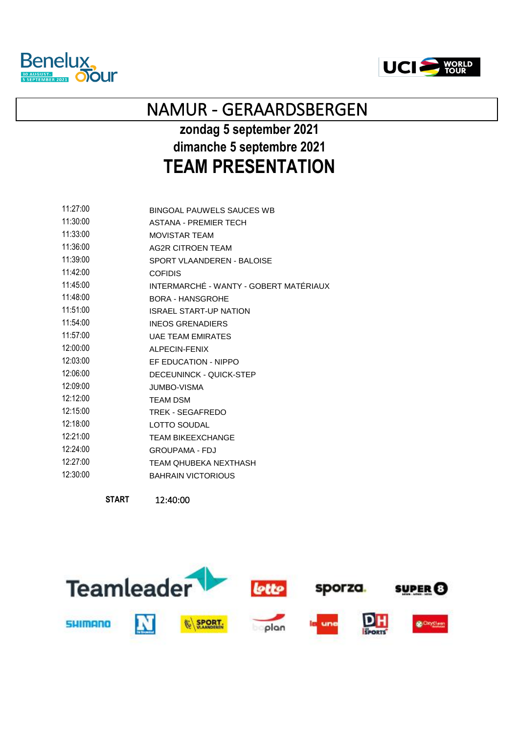



# NAMUR - GERAARDSBERGEN

# **zondag 5 september 2021 dimanche 5 septembre 2021 TEAM PRESENTATION**

| 11:27:00 | BINGOAL PAUWELS SAUCES WB              |
|----------|----------------------------------------|
| 11:30:00 | <b>ASTANA - PREMIER TECH</b>           |
| 11:33:00 | <b>MOVISTAR TEAM</b>                   |
| 11:36:00 | AG2R CITROEN TEAM                      |
| 11:39:00 | SPORT VLAANDEREN - BALOISE             |
| 11:42:00 | <b>COFIDIS</b>                         |
| 11:45:00 | INTERMARCHÉ - WANTY - GOBERT MATÉRIAUX |
| 11:48:00 | BORA - HANSGROHE                       |
| 11:51:00 | <b>ISRAEL START-UP NATION</b>          |
| 11:54:00 | <b>INEOS GRENADIERS</b>                |
| 11:57:00 | <b>UAF TEAM EMIRATES</b>               |
| 12:00:00 | ALPECIN-FENIX                          |
| 12:03:00 | EF EDUCATION - NIPPO                   |
| 12:06:00 | DECEUNINCK - QUICK-STEP                |
| 12:09:00 | <b>JUMBO-VISMA</b>                     |
| 12:12:00 | <b>TEAM DSM</b>                        |
| 12:15:00 | TREK - SEGAFREDO                       |
| 12:18:00 | <b>LOTTO SOUDAL</b>                    |
| 12:21:00 | <b>TEAM BIKEEXCHANGE</b>               |
| 12:24:00 | <b>GROUPAMA - FDJ</b>                  |
| 12:27:00 | TEAM OHUBEKA NEXTHASH                  |
| 12:30:00 | <b>BAHRAIN VICTORIOUS</b>              |
|          |                                        |

**START** 12:40:00